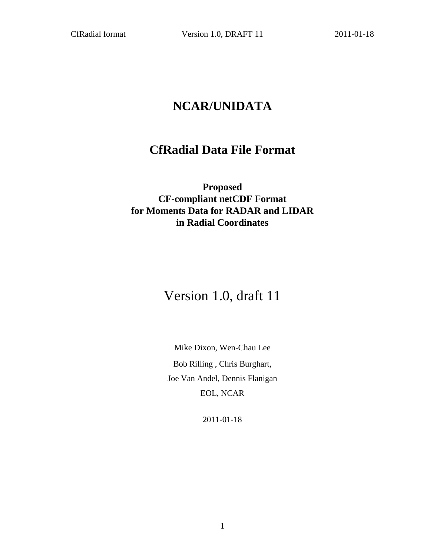# **NCAR/UNIDATA**

# **CfRadial Data File Format**

**Proposed CF-compliant netCDF Format for Moments Data for RADAR and LIDAR in Radial Coordinates**

# Version 1.0, draft 11

Mike Dixon, Wen-Chau Lee Bob Rilling , Chris Burghart, Joe Van Andel, Dennis Flanigan EOL, NCAR

2011-01-18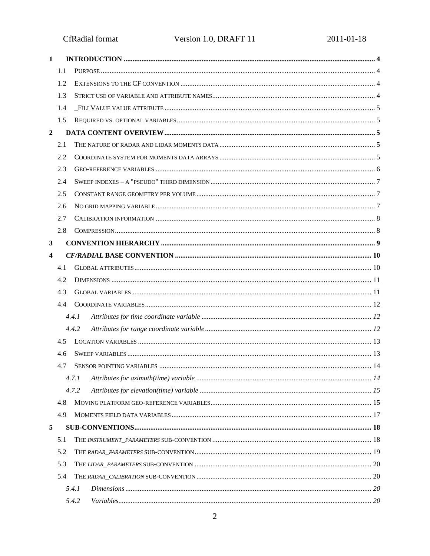CfRadial format

| $\mathbf{1}$            |     |       |  |
|-------------------------|-----|-------|--|
|                         | 1.1 |       |  |
|                         | 1.2 |       |  |
|                         | 1.3 |       |  |
|                         | 1.4 |       |  |
|                         | 1.5 |       |  |
| $\overline{2}$          |     |       |  |
|                         | 2.1 |       |  |
|                         | 2.2 |       |  |
|                         | 2.3 |       |  |
|                         | 2.4 |       |  |
|                         | 2.5 |       |  |
|                         | 2.6 |       |  |
|                         | 2.7 |       |  |
|                         | 2.8 |       |  |
| 3                       |     |       |  |
| $\overline{\mathbf{4}}$ |     |       |  |
|                         | 4.1 |       |  |
|                         | 4.2 |       |  |
|                         | 4.3 |       |  |
|                         | 4.4 |       |  |
|                         |     | 4.4.1 |  |
|                         |     | 4.4.2 |  |
|                         | 4.5 |       |  |
|                         | 4.6 |       |  |
|                         | 4.7 |       |  |
|                         |     | 4.7.1 |  |
|                         |     | 4.7.2 |  |
|                         | 4.8 |       |  |
|                         | 4.9 |       |  |
| 5                       |     |       |  |
|                         | 5.1 |       |  |
|                         | 5.2 |       |  |
|                         | 5.3 |       |  |
|                         | 5.4 |       |  |
|                         |     | 5.4.1 |  |
|                         |     | 5.4.2 |  |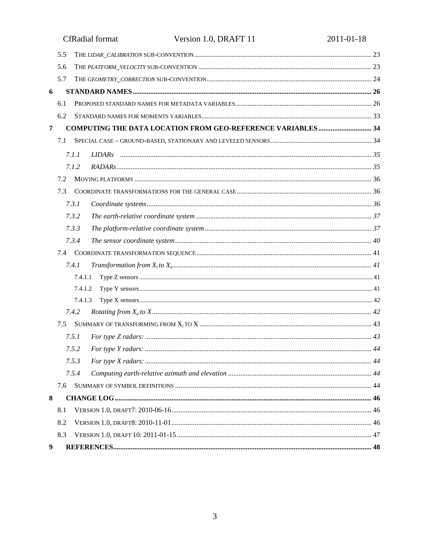|   |     | <b>CfRadial</b> format<br>Version 1.0, DRAFT 11                    | 2011-01-18 |
|---|-----|--------------------------------------------------------------------|------------|
|   | 5.5 |                                                                    |            |
|   | 5.6 |                                                                    |            |
|   | 5.7 |                                                                    |            |
| 6 |     |                                                                    |            |
|   | 6.1 |                                                                    |            |
|   | 6.2 |                                                                    |            |
| 7 |     | <b>COMPUTING THE DATA LOCATION FROM GEO-REFERENCE VARIABLES 34</b> |            |
|   | 7.1 |                                                                    |            |
|   |     | 7.1.1                                                              |            |
|   |     | 7.1.2                                                              |            |
|   | 7.2 |                                                                    |            |
|   | 7.3 |                                                                    |            |
|   |     | 7.3.1                                                              |            |
|   |     | 7.3.2                                                              |            |
|   |     | 7.3.3                                                              |            |
|   |     | 7.3.4                                                              |            |
|   | 7.4 |                                                                    |            |
|   |     | 7.4.1                                                              |            |
|   |     | 7.4.1.1                                                            |            |
|   |     | 7.4.1.2                                                            |            |
|   |     | 7.4.1.3                                                            |            |
|   |     | 7.4.2                                                              |            |
|   |     |                                                                    |            |
|   |     | 7.5.1                                                              |            |
|   |     |                                                                    |            |
|   |     | 7.5.3                                                              |            |
|   |     | 7.5.4                                                              |            |
|   | 7.6 |                                                                    |            |
| 8 |     |                                                                    |            |
|   | 8.1 |                                                                    |            |
|   | 8.2 |                                                                    |            |
|   | 8.3 |                                                                    |            |
| 9 |     |                                                                    |            |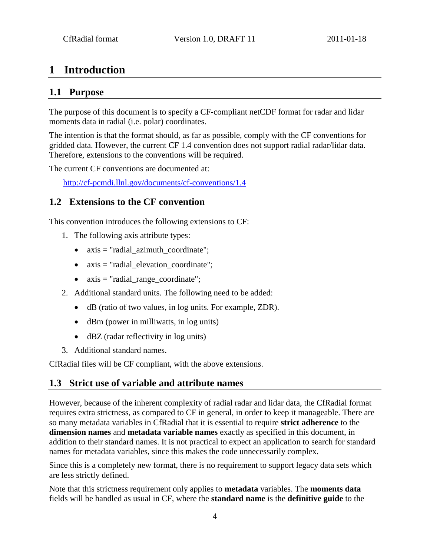## <span id="page-3-0"></span>**1 Introduction**

### <span id="page-3-1"></span>**1.1 Purpose**

The purpose of this document is to specify a CF-compliant netCDF format for radar and lidar moments data in radial (i.e. polar) coordinates.

The intention is that the format should, as far as possible, comply with the CF conventions for gridded data. However, the current CF 1.4 convention does not support radial radar/lidar data. Therefore, extensions to the conventions will be required.

The current CF conventions are documented at:

http://cf-pcmdi.llnl.gov/documents/cf-conventions/1.4

### <span id="page-3-2"></span>**1.2 Extensions to the CF convention**

This convention introduces the following extensions to CF:

- 1. The following axis attribute types:
	- axis = "radial\_azimuth\_coordinate";
	- axis = "radial\_elevation\_coordinate";
	- axis = "radial\_range\_coordinate";
- 2. Additional standard units. The following need to be added:
	- dB (ratio of two values, in log units. For example, ZDR).
	- dBm (power in milliwatts, in log units)
	- dBZ (radar reflectivity in log units)
- 3. Additional standard names.

<span id="page-3-3"></span>CfRadial files will be CF compliant, with the above extensions.

### **1.3 Strict use of variable and attribute names**

However, because of the inherent complexity of radial radar and lidar data, the CfRadial format requires extra strictness, as compared to CF in general, in order to keep it manageable. There are so many metadata variables in CfRadial that it is essential to require **strict adherence** to the **dimension names** and **metadata variable names** exactly as specified in this document, in addition to their standard names. It is not practical to expect an application to search for standard names for metadata variables, since this makes the code unnecessarily complex.

Since this is a completely new format, there is no requirement to support legacy data sets which are less strictly defined.

Note that this strictness requirement only applies to **metadata** variables. The **moments data** fields will be handled as usual in CF, where the **standard name** is the **definitive guide** to the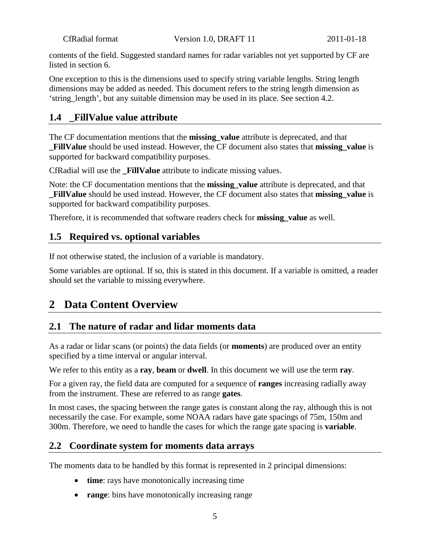contents of the field. Suggested standard names for radar variables not yet supported by CF are listed in section 6.

One exception to this is the dimensions used to specify string variable lengths. String length dimensions may be added as needed. This document refers to the string length dimension as 'string\_length', but any suitable dimension may be used in its place. See section 4.2.

### <span id="page-4-0"></span>**1.4 \_FillValue value attribute**

The CF documentation mentions that the **missing\_value** attribute is deprecated, and that **\_FillValue** should be used instead. However, the CF document also states that **missing\_value** is supported for backward compatibility purposes.

CfRadial will use the **FillValue** attribute to indicate missing values.

Note: the CF documentation mentions that the **missing\_value** attribute is deprecated, and that **FillValue** should be used instead. However, the CF document also states that **missing** value is supported for backward compatibility purposes.

<span id="page-4-1"></span>Therefore, it is recommended that software readers check for **missing\_value** as well.

### **1.5 Required vs. optional variables**

If not otherwise stated, the inclusion of a variable is mandatory.

Some variables are optional. If so, this is stated in this document. If a variable is omitted, a reader should set the variable to missing everywhere.

## <span id="page-4-2"></span>**2 Data Content Overview**

### <span id="page-4-3"></span>**2.1 The nature of radar and lidar moments data**

As a radar or lidar scans (or points) the data fields (or **moments**) are produced over an entity specified by a time interval or angular interval.

We refer to this entity as a **ray**, **beam** or **dwell**. In this document we will use the term **ray**.

For a given ray, the field data are computed for a sequence of **ranges** increasing radially away from the instrument. These are referred to as range **gates**.

In most cases, the spacing between the range gates is constant along the ray, although this is not necessarily the case. For example, some NOAA radars have gate spacings of 75m, 150m and 300m. Therefore, we need to handle the cases for which the range gate spacing is **variable**.

### <span id="page-4-4"></span>**2.2 Coordinate system for moments data arrays**

The moments data to be handled by this format is represented in 2 principal dimensions:

- **time**: rays have monotonically increasing time
- **range**: bins have monotonically increasing range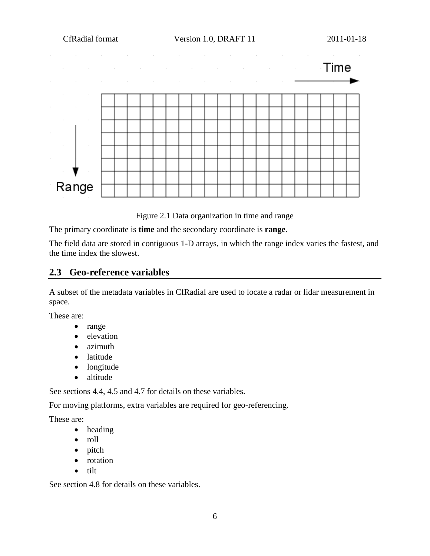

Figure 2.1 Data organization in time and range

The primary coordinate is **time** and the secondary coordinate is **range**.

The field data are stored in contiguous 1-D arrays, in which the range index varies the fastest, and the time index the slowest.

### <span id="page-5-0"></span>**2.3 Geo-reference variables**

A subset of the metadata variables in CfRadial are used to locate a radar or lidar measurement in space.

These are:

- range
- elevation
- azimuth
- latitude
- longitude
- altitude

See sections 4.4, 4.5 and 4.7 for details on these variables.

For moving platforms, extra variables are required for geo-referencing.

These are:

- heading
- roll
- pitch
- rotation
- tilt

See section 4.8 for details on these variables.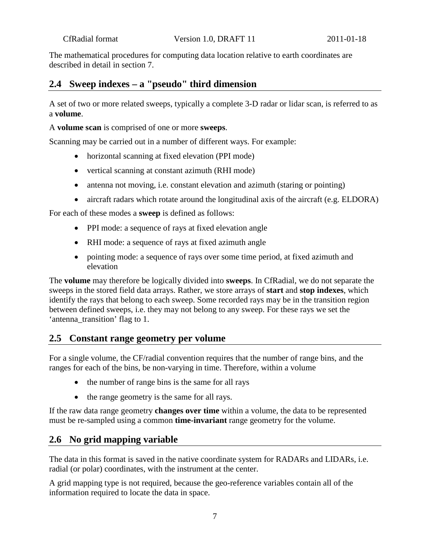The mathematical procedures for computing data location relative to earth coordinates are described in detail in section 7.

### <span id="page-6-0"></span>**2.4 Sweep indexes – a "pseudo" third dimension**

A set of two or more related sweeps, typically a complete 3-D radar or lidar scan, is referred to as a **volume**.

A **volume scan** is comprised of one or more **sweeps**.

Scanning may be carried out in a number of different ways. For example:

- horizontal scanning at fixed elevation (PPI mode)
- vertical scanning at constant azimuth (RHI mode)
- antenna not moving, i.e. constant elevation and azimuth (staring or pointing)
- aircraft radars which rotate around the longitudinal axis of the aircraft (e.g. ELDORA)

For each of these modes a **sweep** is defined as follows:

- PPI mode: a sequence of rays at fixed elevation angle
- RHI mode: a sequence of rays at fixed azimuth angle
- pointing mode: a sequence of rays over some time period, at fixed azimuth and elevation

The **volume** may therefore be logically divided into **sweeps**. In CfRadial, we do not separate the sweeps in the stored field data arrays. Rather, we store arrays of **start** and **stop indexes**, which identify the rays that belong to each sweep. Some recorded rays may be in the transition region between defined sweeps, i.e. they may not belong to any sweep. For these rays we set the 'antenna\_transition' flag to 1.

### <span id="page-6-1"></span>**2.5 Constant range geometry per volume**

For a single volume, the CF/radial convention requires that the number of range bins, and the ranges for each of the bins, be non-varying in time. Therefore, within a volume

- the number of range bins is the same for all rays
- the range geometry is the same for all rays.

If the raw data range geometry **changes over time** within a volume, the data to be represented must be re-sampled using a common **time-invariant** range geometry for the volume.

### <span id="page-6-2"></span>**2.6 No grid mapping variable**

The data in this format is saved in the native coordinate system for RADARs and LIDARs, i.e. radial (or polar) coordinates, with the instrument at the center.

A grid mapping type is not required, because the geo-reference variables contain all of the information required to locate the data in space.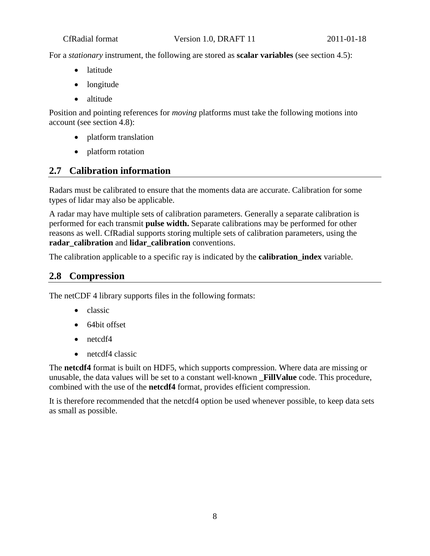For a *stationary* instrument, the following are stored as **scalar variables** (see section 4.5):

- latitude
- longitude
- altitude

Position and pointing references for *moving* platforms must take the following motions into account (see section 4.8):

- platform translation
- platform rotation

### <span id="page-7-0"></span>**2.7 Calibration information**

Radars must be calibrated to ensure that the moments data are accurate. Calibration for some types of lidar may also be applicable.

A radar may have multiple sets of calibration parameters. Generally a separate calibration is performed for each transmit **pulse width.** Separate calibrations may be performed for other reasons as well. CfRadial supports storing multiple sets of calibration parameters, using the **radar\_calibration** and **lidar\_calibration** conventions.

<span id="page-7-1"></span>The calibration applicable to a specific ray is indicated by the **calibration\_index** variable.

### **2.8 Compression**

The netCDF 4 library supports files in the following formats:

- classic
- 64bit offset
- netcdf4
- netcdf4 classic

The **netcdf4** format is built on HDF5, which supports compression. Where data are missing or unusable, the data values will be set to a constant well-known **\_FillValue** code. This procedure, combined with the use of the **netcdf4** format, provides efficient compression.

It is therefore recommended that the netcdf4 option be used whenever possible, to keep data sets as small as possible.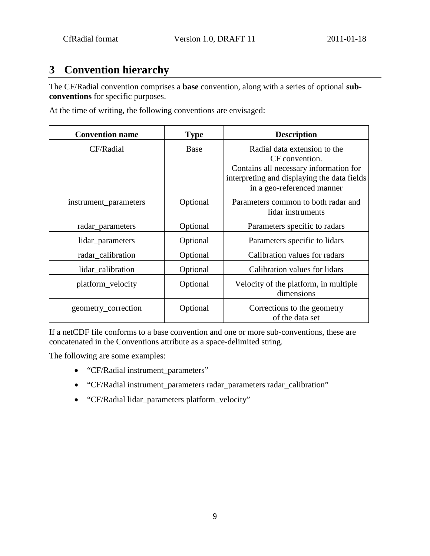## <span id="page-8-0"></span>**3 Convention hierarchy**

The CF/Radial convention comprises a **base** convention, along with a series of optional **subconventions** for specific purposes.

At the time of writing, the following conventions are envisaged:

| <b>Convention name</b> | <b>Type</b> | <b>Description</b>                                                                                                                                                    |
|------------------------|-------------|-----------------------------------------------------------------------------------------------------------------------------------------------------------------------|
| CF/Radial              | Base        | Radial data extension to the<br>CF convention.<br>Contains all necessary information for<br>interpreting and displaying the data fields<br>in a geo-referenced manner |
| instrument_parameters  | Optional    | Parameters common to both radar and<br>lidar instruments                                                                                                              |
| radar_parameters       | Optional    | Parameters specific to radars                                                                                                                                         |
| lidar_parameters       | Optional    | Parameters specific to lidars                                                                                                                                         |
| radar_calibration      | Optional    | Calibration values for radars                                                                                                                                         |
| lidar_calibration      | Optional    | Calibration values for lidars                                                                                                                                         |
| platform_velocity      | Optional    | Velocity of the platform, in multiple<br>dimensions                                                                                                                   |
| geometry_correction    | Optional    | Corrections to the geometry<br>of the data set                                                                                                                        |

If a netCDF file conforms to a base convention and one or more sub-conventions, these are concatenated in the Conventions attribute as a space-delimited string.

The following are some examples:

- "CF/Radial instrument\_parameters"
- "CF/Radial instrument\_parameters radar\_parameters radar\_calibration"
- "CF/Radial lidar\_parameters platform\_velocity"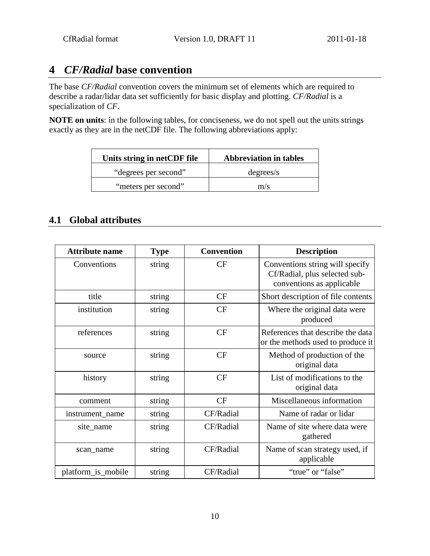## <span id="page-9-0"></span>**4** *CF/Radial* **base convention**

The base *CF/Radial* convention covers the minimum set of elements which are required to describe a radar/lidar data set sufficiently for basic display and plotting. *CF/Radial* is a specialization of *CF*.

**NOTE on units**: in the following tables, for conciseness, we do not spell out the units strings exactly as they are in the netCDF file. The following abbreviations apply:

| Units string in netCDF file | <b>Abbreviation in tables</b> |
|-----------------------------|-------------------------------|
| "degrees per second"        | degrees/s                     |
| "meters per second"         | m/s                           |

### <span id="page-9-1"></span>**4.1 Global attributes**

| <b>Attribute name</b> | <b>Type</b> | <b>Convention</b> | <b>Description</b>                                                                            |
|-----------------------|-------------|-------------------|-----------------------------------------------------------------------------------------------|
| Conventions           | string      | CF                | Conventions string will specify<br>Cf/Radial, plus selected sub-<br>conventions as applicable |
| title                 | string      | CF                | Short description of file contents                                                            |
| institution           | string      | <b>CF</b>         | Where the original data were<br>produced                                                      |
| references            | string      | CF                | References that describe the data<br>or the methods used to produce it                        |
| source                | string      | CF                | Method of production of the<br>original data                                                  |
| history               | string      | CF                | List of modifications to the<br>original data                                                 |
| comment               | string      | CF                | Miscellaneous information                                                                     |
| instrument_name       | string      | CF/Radial         | Name of radar or lidar                                                                        |
| site_name             | string      | CF/Radial         | Name of site where data were<br>gathered                                                      |
| scan name             | string      | CF/Radial         | Name of scan strategy used, if<br>applicable                                                  |
| platform_is_mobile    | string      | CF/Radial         | "true" or "false"                                                                             |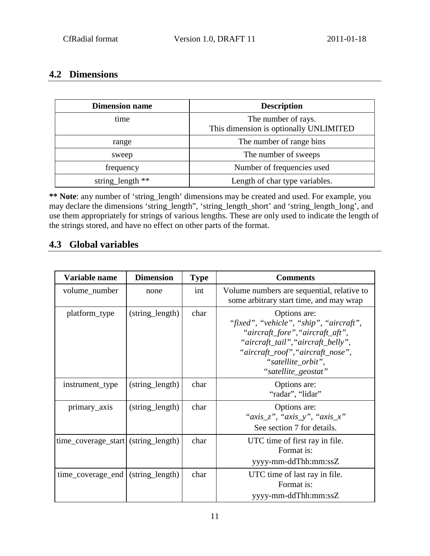### <span id="page-10-0"></span>**4.2 Dimensions**

| <b>Dimension name</b> | <b>Description</b>                                            |
|-----------------------|---------------------------------------------------------------|
| time                  | The number of rays.<br>This dimension is optionally UNLIMITED |
| range                 | The number of range bins                                      |
| sweep                 | The number of sweeps                                          |
| frequency             | Number of frequencies used                                    |
| string_length **      | Length of char type variables.                                |

**\*\* Note**: any number of 'string\_length' dimensions may be created and used. For example, you may declare the dimensions 'string\_length", 'string\_length\_short' and 'string\_length\_long', and use them appropriately for strings of various lengths. These are only used to indicate the length of the strings stored, and have no effect on other parts of the format.

### <span id="page-10-1"></span>**4.3 Global variables**

| Variable name                       | <b>Dimension</b> | <b>Type</b> | <b>Comments</b>                                                                                                                                                                                                     |
|-------------------------------------|------------------|-------------|---------------------------------------------------------------------------------------------------------------------------------------------------------------------------------------------------------------------|
| volume_number                       | none             | int         | Volume numbers are sequential, relative to<br>some arbitrary start time, and may wrap                                                                                                                               |
| platform_type                       | (string_length)  | char        | Options are:<br>"fixed", "vehicle", "ship", "aircraft",<br>"aircraft_fore", "aircraft_aft",<br>"aircraft_tail", "aircraft_belly",<br>"aircraft_roof", "aircraft_nose",<br>"satellite_orbit",<br>"satellite_geostat" |
| instrument_type                     | (string_length)  | char        | Options are:<br>"radar", "lidar"                                                                                                                                                                                    |
| primary_axis                        | (string_length)  | char        | Options are:<br>" $axis_z$ ", " $axis_y$ ", " $axis_x$ "<br>See section 7 for details.                                                                                                                              |
| time_coverage_start (string_length) |                  | char        | UTC time of first ray in file.<br>Format is:<br>yyyy-mm-ddThh:mm:ssZ                                                                                                                                                |
| time_coverage_end                   | (string_length)  | char        | UTC time of last ray in file.<br>Format is:<br>yyyy-mm-ddThh:mm:ssZ                                                                                                                                                 |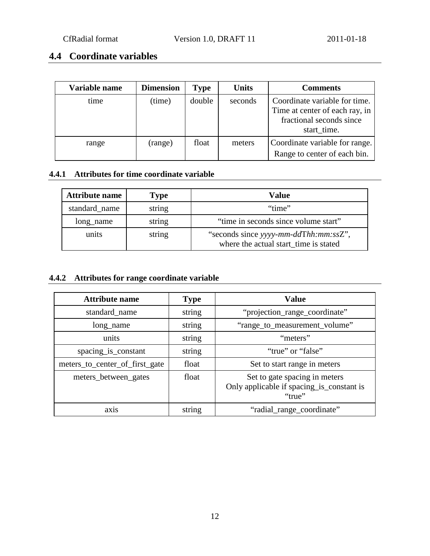### <span id="page-11-0"></span>**4.4 Coordinate variables**

| Variable name | <b>Dimension</b> | <b>Type</b> | <b>Units</b> | <b>Comments</b>                                                                             |
|---------------|------------------|-------------|--------------|---------------------------------------------------------------------------------------------|
| time          | (time)           | double      | seconds      | Coordinate variable for time.<br>Time at center of each ray, in<br>fractional seconds since |
|               |                  |             |              | start_time.                                                                                 |
| range         | (range)          | float       | meters       | Coordinate variable for range.                                                              |
|               |                  |             |              | Range to center of each bin.                                                                |

#### <span id="page-11-1"></span>**4.4.1 Attributes for time coordinate variable**

| <b>Attribute name</b>   | Type   | <b>Value</b>                                                                   |  |  |
|-------------------------|--------|--------------------------------------------------------------------------------|--|--|
| standard_name<br>string |        | "time"                                                                         |  |  |
| string<br>long_name     |        | "time in seconds since volume start"                                           |  |  |
| units                   | string | "seconds since yyyy-mm-ddThh:mm:ssZ",<br>where the actual start time is stated |  |  |

#### <span id="page-11-2"></span>**4.4.2 Attributes for range coordinate variable**

| <b>Attribute name</b>          | <b>Type</b> | <b>Value</b>                                                                         |
|--------------------------------|-------------|--------------------------------------------------------------------------------------|
| standard_name                  | string      | "projection_range_coordinate"                                                        |
| long_name                      | string      | "range_to_measurement_volume"                                                        |
| units                          | string      | "meters"                                                                             |
| spacing_is_constant            | string      | "true" or "false"                                                                    |
| meters_to_center_of_first_gate | float       | Set to start range in meters                                                         |
| meters_between_gates           | float       | Set to gate spacing in meters<br>Only applicable if spacing_is_constant is<br>"true" |
| ax <sub>1</sub> s              | string      | "radial_range_coordinate"                                                            |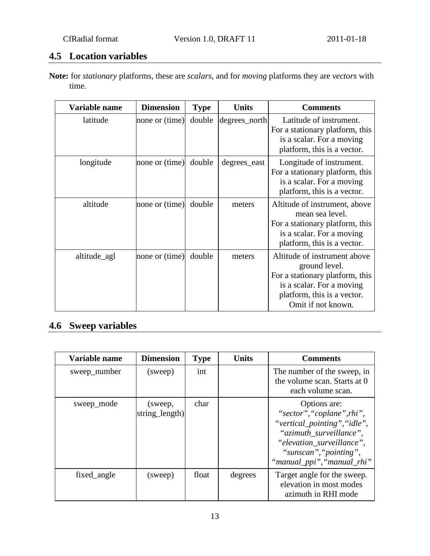## <span id="page-12-0"></span>**4.5 Location variables**

**Note:** for *stationary* platforms, these are *scalars*, and for *moving* platforms they are *vectors* with time.

| Variable name | <b>Dimension</b> | <b>Type</b> | <b>Units</b>  | <b>Comments</b>                                                                                                                                                    |
|---------------|------------------|-------------|---------------|--------------------------------------------------------------------------------------------------------------------------------------------------------------------|
| latitude      | none or (time)   | double      | degrees_north | Latitude of instrument.<br>For a stationary platform, this<br>is a scalar. For a moving<br>platform, this is a vector.                                             |
| longitude     | none or (time)   | double      | degrees_east  | Longitude of instrument.<br>For a stationary platform, this<br>is a scalar. For a moving<br>platform, this is a vector.                                            |
| altitude      | none or (time)   | double      | meters        | Altitude of instrument, above<br>mean sea level.<br>For a stationary platform, this<br>is a scalar. For a moving<br>platform, this is a vector.                    |
| altitude_agl  | none or (time)   | double      | meters        | Altitude of instrument above<br>ground level.<br>For a stationary platform, this<br>is a scalar. For a moving<br>platform, this is a vector.<br>Omit if not known. |

## <span id="page-12-1"></span>**4.6 Sweep variables**

| Variable name | <b>Dimension</b>          | <b>Type</b> | <b>Units</b> | <b>Comments</b>                                                                                                                                                                            |
|---------------|---------------------------|-------------|--------------|--------------------------------------------------------------------------------------------------------------------------------------------------------------------------------------------|
| sweep_number  | (sweep)                   | int         |              | The number of the sweep, in<br>the volume scan. Starts at 0<br>each volume scan.                                                                                                           |
| sweep_mode    | (sweep,<br>string_length) | char        |              | Options are:<br>"sector", "coplane", rhi",<br>"vertical_pointing", "idle",<br>"azimuth surveillance",<br>"elevation_surveillance",<br>"sunscan", "pointing",<br>"manual_ppi", "manual_rhi" |
| fixed_angle   | (sweep)                   | float       | degrees      | Target angle for the sweep.<br>elevation in most modes<br>azimuth in RHI mode                                                                                                              |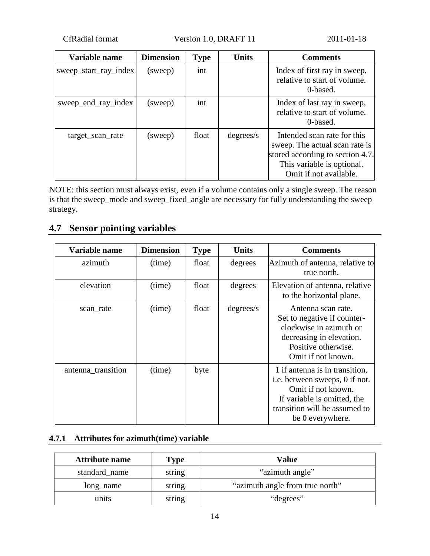CfRadial format Version 1.0, DRAFT 11 2011-01-18

| Variable name         | <b>Dimension</b> | <b>Type</b> | <b>Units</b> | <b>Comments</b>                                                                                                                                           |
|-----------------------|------------------|-------------|--------------|-----------------------------------------------------------------------------------------------------------------------------------------------------------|
| sweep_start_ray_index | (sweep)          | int         |              | Index of first ray in sweep,<br>relative to start of volume.<br>0-based.                                                                                  |
| sweep_end_ray_index   | (sweep)          | int         |              | Index of last ray in sweep,<br>relative to start of volume.<br>0-based.                                                                                   |
| target_scan_rate      | (sweep)          | float       | degrees/s    | Intended scan rate for this<br>sweep. The actual scan rate is<br>stored according to section 4.7.<br>This variable is optional.<br>Omit if not available. |

NOTE: this section must always exist, even if a volume contains only a single sweep. The reason is that the sweep\_mode and sweep\_fixed\_angle are necessary for fully understanding the sweep strategy.

### <span id="page-13-0"></span>**4.7 Sensor pointing variables**

| Variable name      | <b>Dimension</b> | <b>Type</b> | <b>Units</b> | <b>Comments</b>                                                                                                                                                            |
|--------------------|------------------|-------------|--------------|----------------------------------------------------------------------------------------------------------------------------------------------------------------------------|
| azimuth            | (time)           | float       | degrees      | Azimuth of antenna, relative to<br>true north.                                                                                                                             |
| elevation          | (time)           | float       | degrees      | Elevation of antenna, relative<br>to the horizontal plane.                                                                                                                 |
| scan_rate          | (time)           | float       | degrees/s    | Antenna scan rate.<br>Set to negative if counter-<br>clockwise in azimuth or<br>decreasing in elevation.<br>Positive otherwise.<br>Omit if not known.                      |
| antenna_transition | (time)           | byte        |              | 1 if antenna is in transition,<br>i.e. between sweeps, 0 if not.<br>Omit if not known.<br>If variable is omitted, the<br>transition will be assumed to<br>be 0 everywhere. |

## <span id="page-13-1"></span>**4.7.1 Attributes for azimuth(time) variable**

| <b>Attribute name</b> | <b>Type</b> | <b>Value</b>                    |
|-----------------------|-------------|---------------------------------|
| standard name         | string      | "azimuth angle"                 |
| long_name             | string      | "azimuth angle from true north" |
| units                 | string      | "degrees"                       |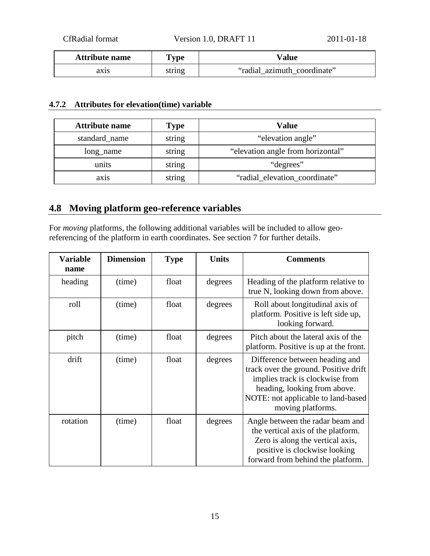| <b>Attribute name</b> | <b>Type</b> | Value                       |
|-----------------------|-------------|-----------------------------|
| axıs                  | string      | "radial azimuth coordinate" |

#### <span id="page-14-0"></span>**4.7.2 Attributes for elevation(time) variable**

| <b>Attribute name</b> | <b>Type</b> | <b>Value</b>                      |
|-----------------------|-------------|-----------------------------------|
| standard_name         | string      | "elevation angle"                 |
| long_name             | string      | "elevation angle from horizontal" |
| units                 | string      | "degrees"                         |
| ax <sub>1</sub> s     | string      | "radial_elevation_coordinate"     |

## <span id="page-14-1"></span>**4.8 Moving platform geo-reference variables**

For *moving* platforms, the following additional variables will be included to allow georeferencing of the platform in earth coordinates. See section 7 for further details.

| <b>Variable</b><br>name | <b>Dimension</b> | <b>Type</b> | <b>Units</b> | <b>Comments</b>                                                                                                                                                                                       |
|-------------------------|------------------|-------------|--------------|-------------------------------------------------------------------------------------------------------------------------------------------------------------------------------------------------------|
| heading                 | (time)           | float       | degrees      | Heading of the platform relative to<br>true N, looking down from above.                                                                                                                               |
| roll                    | (time)           | float       | degrees      | Roll about longitudinal axis of<br>platform. Positive is left side up,<br>looking forward.                                                                                                            |
| pitch                   | (time)           | float       | degrees      | Pitch about the lateral axis of the<br>platform. Positive is up at the front.                                                                                                                         |
| drift                   | (time)           | float       | degrees      | Difference between heading and<br>track over the ground. Positive drift<br>implies track is clockwise from<br>heading, looking from above.<br>NOTE: not applicable to land-based<br>moving platforms. |
| rotation                | (time)           | float       | degrees      | Angle between the radar beam and<br>the vertical axis of the platform.<br>Zero is along the vertical axis,<br>positive is clockwise looking<br>forward from behind the platform.                      |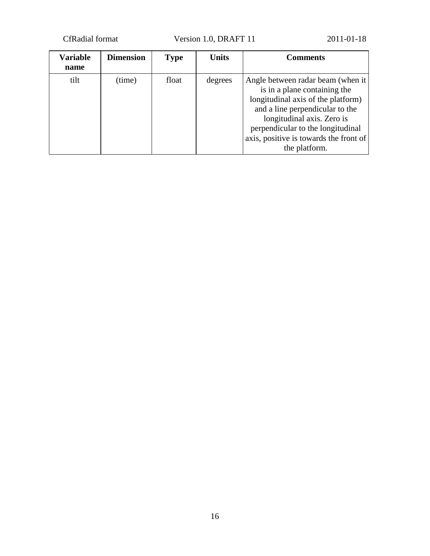CfRadial format Version 1.0, DRAFT 11 2011-01-18

| <b>Variable</b><br>name | <b>Dimension</b> | <b>Type</b> | <b>Units</b> | <b>Comments</b>                                                                                                                                                                                                                                                          |
|-------------------------|------------------|-------------|--------------|--------------------------------------------------------------------------------------------------------------------------------------------------------------------------------------------------------------------------------------------------------------------------|
| tilt                    | (time)           | float       | degrees      | Angle between radar beam (when it<br>is in a plane containing the<br>longitudinal axis of the platform)<br>and a line perpendicular to the<br>longitudinal axis. Zero is<br>perpendicular to the longitudinal<br>axis, positive is towards the front of<br>the platform. |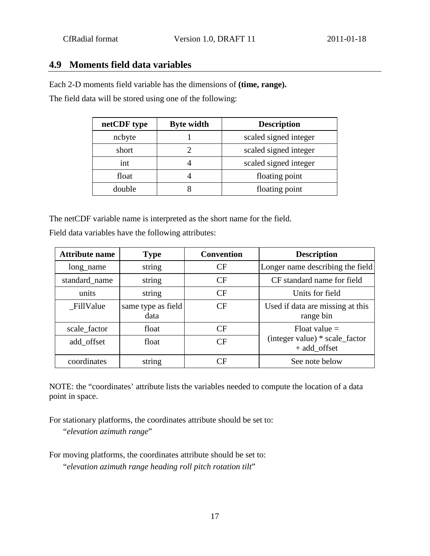### <span id="page-16-0"></span>**4.9 Moments field data variables**

Each 2-D moments field variable has the dimensions of **(time, range).**

The field data will be stored using one of the following:

| netCDF type | <b>Byte width</b> | <b>Description</b>    |
|-------------|-------------------|-----------------------|
| ncbyte      |                   | scaled signed integer |
| short       |                   | scaled signed integer |
| int         |                   | scaled signed integer |
| float       |                   | floating point        |
| double      |                   | floating point        |

The netCDF variable name is interpreted as the short name for the field.

Field data variables have the following attributes:

| <b>Attribute name</b> | <b>Type</b>                | <b>Convention</b> | <b>Description</b>                             |
|-----------------------|----------------------------|-------------------|------------------------------------------------|
| long_name             | string                     | CF                | Longer name describing the field               |
| standard name         | string                     | CF                | CF standard name for field                     |
| units                 | string                     | CF                | Units for field                                |
| FillValue             | same type as field<br>data | CF                | Used if data are missing at this<br>range bin  |
| scale_factor          | float                      | CF                | Float value $=$                                |
| add_offset            | float                      | CF                | (integer value) * scale_factor<br>+ add_offset |
| coordinates           | string                     | CΕ                | See note below                                 |

NOTE: the "coordinates' attribute lists the variables needed to compute the location of a data point in space.

For stationary platforms, the coordinates attribute should be set to: "*elevation azimuth range*"

For moving platforms, the coordinates attribute should be set to: "*elevation azimuth range heading roll pitch rotation tilt*"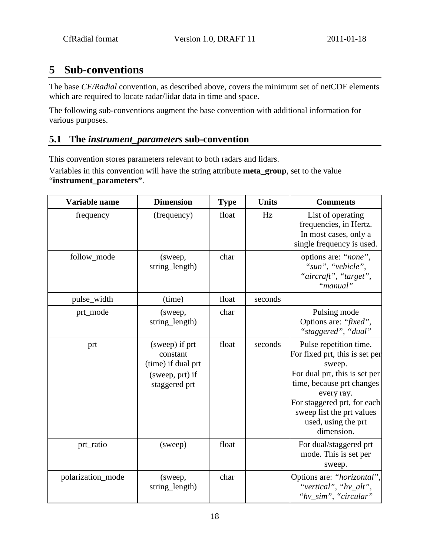## <span id="page-17-0"></span>**5 Sub-conventions**

The base *CF/Radial* convention, as described above, covers the minimum set of netCDF elements which are required to locate radar/lidar data in time and space.

The following sub-conventions augment the base convention with additional information for various purposes.

### <span id="page-17-1"></span>**5.1 The** *instrument\_parameters* **sub-convention**

This convention stores parameters relevant to both radars and lidars.

Variables in this convention will have the string attribute **meta\_group**, set to the value "**instrument\_parameters"**.

| Variable name     | <b>Dimension</b>                                                                     | <b>Type</b> | <b>Units</b> | <b>Comments</b>                                                                                                                                                                                                                                 |
|-------------------|--------------------------------------------------------------------------------------|-------------|--------------|-------------------------------------------------------------------------------------------------------------------------------------------------------------------------------------------------------------------------------------------------|
| frequency         | (frequency)                                                                          | float       | Hz           | List of operating<br>frequencies, in Hertz.<br>In most cases, only a<br>single frequency is used.                                                                                                                                               |
| follow_mode       | (sweep,<br>string_length)                                                            | char        |              | options are: "none",<br>"sun", "vehicle",<br>"aircraft", "target",<br>"manual"                                                                                                                                                                  |
| pulse_width       | (time)                                                                               | float       | seconds      |                                                                                                                                                                                                                                                 |
| prt_mode          | (sweep,<br>string_length)                                                            | char        |              | Pulsing mode<br>Options are: "fixed",<br>"staggered", "dual"                                                                                                                                                                                    |
| prt               | (sweep) if prt<br>constant<br>(time) if dual prt<br>(sweep, prt) if<br>staggered prt | float       | seconds      | Pulse repetition time.<br>For fixed prt, this is set per<br>sweep.<br>For dual prt, this is set per<br>time, because prt changes<br>every ray.<br>For staggered prt, for each<br>sweep list the prt values<br>used, using the prt<br>dimension. |
| prt_ratio         | (sweep)                                                                              | float       |              | For dual/staggered prt<br>mode. This is set per<br>sweep.                                                                                                                                                                                       |
| polarization_mode | (sweep,<br>string_length)                                                            | char        |              | Options are: "horizontal",<br>"vertical", "hv_alt",<br>"hv_sim", "circular"                                                                                                                                                                     |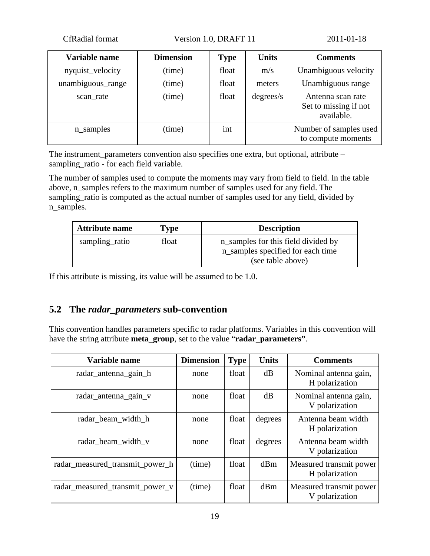CfRadial format Version 1.0, DRAFT 11 2011-01-18

| Variable name     | <b>Dimension</b> | <b>Type</b> | <b>Units</b> | <b>Comments</b>                                          |
|-------------------|------------------|-------------|--------------|----------------------------------------------------------|
| nyquist_velocity  | (time)           | float       | m/s          | Unambiguous velocity                                     |
| unambiguous_range | (time)           | float       | meters       | Unambiguous range                                        |
| scan_rate         | (time)           | float       | degrees/s    | Antenna scan rate<br>Set to missing if not<br>available. |
| n_samples         | (time)           | int         |              | Number of samples used<br>to compute moments             |

The instrument\_parameters convention also specifies one extra, but optional, attribute – sampling\_ratio - for each field variable.

The number of samples used to compute the moments may vary from field to field. In the table above, n\_samples refers to the maximum number of samples used for any field. The sampling\_ratio is computed as the actual number of samples used for any field, divided by n\_samples.

| <b>Attribute name</b> | <b>Type</b> | <b>Description</b>                                                                            |
|-----------------------|-------------|-----------------------------------------------------------------------------------------------|
| sampling_ratio        | float       | n_samples for this field divided by<br>n_samples specified for each time<br>(see table above) |

If this attribute is missing, its value will be assumed to be 1.0.

### <span id="page-18-0"></span>**5.2 The** *radar\_parameters* **sub-convention**

This convention handles parameters specific to radar platforms. Variables in this convention will have the string attribute **meta\_group**, set to the value "**radar\_parameters"**.

| Variable name                   | <b>Dimension</b> | <b>Type</b> | <b>Units</b> | <b>Comments</b>                           |
|---------------------------------|------------------|-------------|--------------|-------------------------------------------|
| radar_antenna_gain_h            | none             | float       | dB           | Nominal antenna gain,<br>H polarization   |
| radar_antenna_gain_v            | none             | float       | dB           | Nominal antenna gain,<br>V polarization   |
| radar_beam_width_h              | none             | float       | degrees      | Antenna beam width<br>H polarization      |
| radar_beam_width_v              | none             | float       | degrees      | Antenna beam width<br>V polarization      |
| radar_measured_transmit_power_h | (time)           | float       | dBm          | Measured transmit power<br>H polarization |
| radar_measured_transmit_power_v | (time)           | float       | dBm          | Measured transmit power<br>V polarization |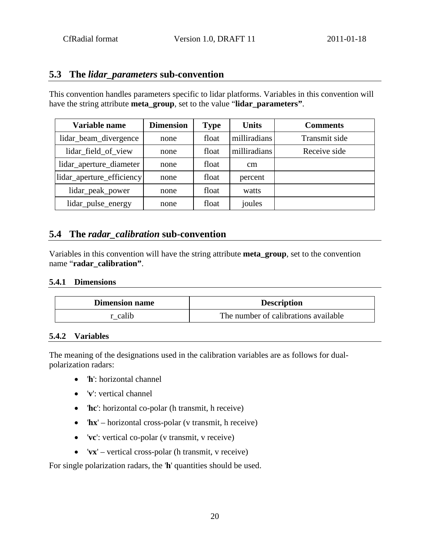### <span id="page-19-0"></span>**5.3 The** *lidar\_parameters* **sub-convention**

This convention handles parameters specific to lidar platforms. Variables in this convention will have the string attribute **meta\_group**, set to the value "**lidar\_parameters"**.

| Variable name             | <b>Dimension</b> | <b>Type</b> | <b>Units</b>  | <b>Comments</b> |
|---------------------------|------------------|-------------|---------------|-----------------|
| lidar_beam_divergence     | none             | float       | milliradians  | Transmit side   |
| lidar_field_of_view       | none             | float       | milliradians  | Receive side    |
| lidar_aperture_diameter   | none             | float       | <sub>cm</sub> |                 |
| lidar_aperture_efficiency | none             | float       | percent       |                 |
| lidar_peak_power          | none             | float       | watts         |                 |
| lidar_pulse_energy        | none             | float       | joules        |                 |

### <span id="page-19-1"></span>**5.4 The** *radar\_calibration* **sub-convention**

Variables in this convention will have the string attribute **meta\_group**, set to the convention name "**radar\_calibration"**.

#### <span id="page-19-2"></span>**5.4.1 Dimensions**

| <b>Dimension name</b> | <b>Description</b>                   |
|-----------------------|--------------------------------------|
| calib                 | The number of calibrations available |

#### <span id="page-19-3"></span>**5.4.2 Variables**

The meaning of the designations used in the calibration variables are as follows for dualpolarization radars:

- '**h**': horizontal channel
- '**v**': vertical channel
- '**hc**': horizontal co-polar (h transmit, h receive)
- '**hx**' horizontal cross-polar (v transmit, h receive)
- '**vc**': vertical co-polar (v transmit, v receive)
- '**vx**' vertical cross-polar (h transmit, v receive)

For single polarization radars, the '**h**' quantities should be used.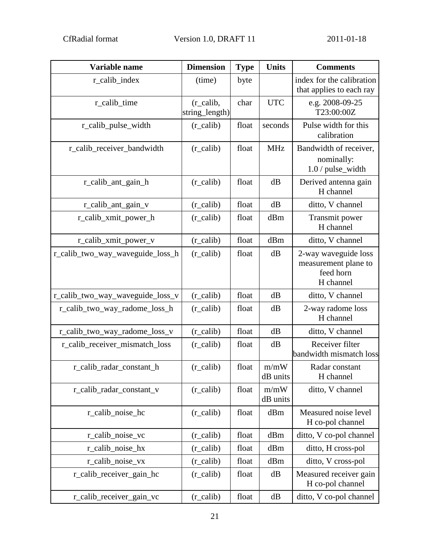| Variable name                    | <b>Dimension</b>                       | <b>Type</b> | <b>Units</b>     | <b>Comments</b>                                                        |
|----------------------------------|----------------------------------------|-------------|------------------|------------------------------------------------------------------------|
| r_calib_index                    | (time)                                 | byte        |                  | index for the calibration<br>that applies to each ray                  |
| r_calib_time                     | $(r_{\text{calib}},$<br>string_length) | char        | <b>UTC</b>       | e.g. 2008-09-25<br>T23:00:00Z                                          |
| r_calib_pulse_width              | $(r_{\text{calib}})$                   | float       | seconds          | Pulse width for this<br>calibration                                    |
| r_calib_receiver_bandwidth       | $(r_{\text{calib}})$                   | float       | <b>MHz</b>       | Bandwidth of receiver,<br>nominally:<br>1.0 / pulse_width              |
| r_calib_ant_gain_h               | $(r_{\text{1}}calib)$                  | float       | dB               | Derived antenna gain<br>H channel                                      |
| r_calib_ant_gain_v               | $(r_{\text{1}}calib)$                  | float       | dB               | ditto, V channel                                                       |
| r_calib_xmit_power_h             | $(r_{\text{calib}})$                   | float       | dBm              | Transmit power<br>H channel                                            |
| r_calib_xmit_power_v             | $(r_{\text{calib}})$                   | float       | dBm              | ditto, V channel                                                       |
| r_calib_two_way_waveguide_loss_h | $(r_{\text{calib}})$                   | float       | dB               | 2-way waveguide loss<br>measurement plane to<br>feed horn<br>H channel |
| r_calib_two_way_waveguide_loss_v | $(r_{\text{calib}})$                   | float       | dB               | ditto, V channel                                                       |
| r_calib_two_way_radome_loss_h    | $(r_{\text{1}}calib)$                  | float       | dB               | 2-way radome loss<br>H channel                                         |
| r_calib_two_way_radome_loss_v    | $(r_{\text{calib}})$                   | float       | dB               | ditto, V channel                                                       |
| r_calib_receiver_mismatch_loss   | $(r_{\text{calib}})$                   | float       | dB               | Receiver filter<br>bandwidth mismatch loss                             |
| r_calib_radar_constant_h         | $(r_{\text{calib}})$                   | float       | m/mW<br>dB units | Radar constant<br>H channel                                            |
| r_calib_radar_constant_v         | $(r_{\text{calib}})$                   | float       | m/mW<br>dB units | ditto, V channel                                                       |
| r_calib_noise_hc                 | $(r_{\text{calib}})$                   | float       | dBm              | Measured noise level<br>H co-pol channel                               |
| r_calib_noise_vc                 | $(r_{\text{calib}})$                   | float       | dBm              | ditto, V co-pol channel                                                |
| r_calib_noise_hx                 | $(r_{\text{calib}})$                   | float       | dBm              | ditto, H cross-pol                                                     |
| r_calib_noise_vx                 | $(r_{\text{calib}})$                   | float       | dBm              | ditto, V cross-pol                                                     |
| r_calib_receiver_gain_hc         | $(r_{\text{calib}})$                   | float       | dB               | Measured receiver gain<br>H co-pol channel                             |
| r_calib_receiver_gain_vc         | $(r_{\text{1}}calib)$                  | float       | dB               | ditto, V co-pol channel                                                |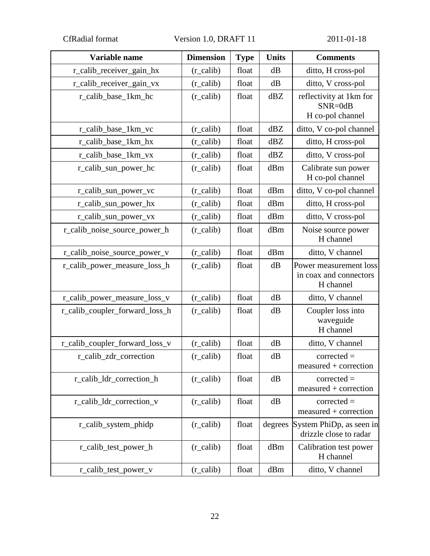CfRadial format Version 1.0, DRAFT 11 2011-01-18

| Variable name                  | <b>Dimension</b>      | <b>Type</b> | <b>Units</b> | <b>Comments</b>                                               |
|--------------------------------|-----------------------|-------------|--------------|---------------------------------------------------------------|
| r_calib_receiver_gain_hx       | $(r_{\text{calib}})$  | float       | dB           | ditto, H cross-pol                                            |
| r_calib_receiver_gain_vx       | $(r_{\text{calib}})$  | float       | dB           | ditto, V cross-pol                                            |
| r calib base 1km hc            | $(r_{\text{calib}})$  | float       | dBZ          | reflectivity at 1km for<br>SNR=0dB<br>H co-pol channel        |
| r_calib_base_1km_vc            | $(r_{\text{calib}})$  | float       | dBZ          | ditto, V co-pol channel                                       |
| r_calib_base_1km_hx            | $(r_{\text{calib}})$  | float       | dBZ          | ditto, H cross-pol                                            |
| r_calib_base_1km_vx            | $(r_{\text{calib}})$  | float       | dBZ          | ditto, V cross-pol                                            |
| r_calib_sun_power_hc           | $(r_{\text{calib}})$  | float       | dBm          | Calibrate sun power<br>H co-pol channel                       |
| r_calib_sun_power_vc           | $(r_{\text{calib}})$  | float       | dBm          | ditto, V co-pol channel                                       |
| r_calib_sun_power_hx           | $(r_{\text{calib}})$  | float       | dBm          | ditto, H cross-pol                                            |
| r_calib_sun_power_vx           | $(r_{\text{calib}})$  | float       | dBm          | ditto, V cross-pol                                            |
| r_calib_noise_source_power_h   | $(r_{\text{calib}})$  | float       | dBm          | Noise source power<br>H channel                               |
| r_calib_noise_source_power_v   | $(r_{\text{calib}})$  | float       | dBm          | ditto, V channel                                              |
| r_calib_power_measure_loss_h   | $(r_{\text{1}}calib)$ | float       | dB           | Power measurement loss<br>in coax and connectors<br>H channel |
| r_calib_power_measure_loss_v   | $(r_{\text{calib}})$  | float       | dB           | ditto, V channel                                              |
| r_calib_coupler_forward_loss_h | $(r_{\text{calib}})$  | float       | dB           | Coupler loss into<br>waveguide<br>H channel                   |
| r_calib_coupler_forward_loss_v | $(r_{\text{calib}})$  | float       | dB           | ditto, V channel                                              |
| r_calib_zdr_correction         | $(r_{\text{calib}})$  | float       | dB           | $corrected =$<br>measured + correction                        |
| r_calib_ldr_correction_h       | $(r_{\text{calib}})$  | float       | dB           | $corrected =$<br>$measured + correction$                      |
| r_calib_ldr_correction_v       | $(r_{\text{calib}})$  | float       | dB           | $corrected =$<br>$measured + correction$                      |
| r_calib_system_phidp           | $(r_{\text{calib}})$  | float       | degrees      | System PhiDp, as seen in<br>drizzle close to radar            |
| r_calib_test_power_h           | $(r_{\text{calib}})$  | float       | dBm          | Calibration test power<br>H channel                           |
| r_calib_test_power_v           | $(r_{\text{1}}calib)$ | float       | dBm          | ditto, V channel                                              |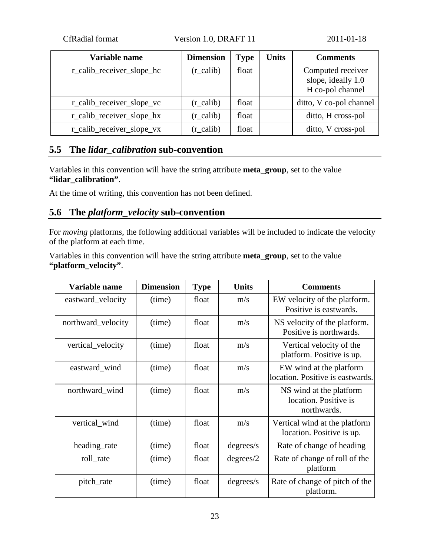CfRadial format Version 1.0, DRAFT 11 2011-01-18

| Variable name             | <b>Dimension</b>     | Type  | <b>Units</b> | <b>Comments</b>                                             |
|---------------------------|----------------------|-------|--------------|-------------------------------------------------------------|
| r_calib_receiver_slope_hc | $(r_{\text{calib}})$ | float |              | Computed receiver<br>slope, ideally 1.0<br>H co-pol channel |
| r_calib_receiver_slope_vc | $(r_{\text{calib}})$ | float |              | ditto, V co-pol channel                                     |
| r_calib_receiver_slope_hx | $(r_{\text{calib}})$ | float |              | ditto, H cross-pol                                          |
| r_calib_receiver_slope_vx | $(r_{\text{calib}})$ | float |              | ditto, V cross-pol                                          |

### <span id="page-22-0"></span>**5.5 The** *lidar\_calibration* **sub-convention**

Variables in this convention will have the string attribute **meta\_group**, set to the value **"lidar\_calibration"**.

<span id="page-22-1"></span>At the time of writing, this convention has not been defined.

### **5.6 The** *platform\_velocity* **sub-convention**

For *moving* platforms, the following additional variables will be included to indicate the velocity of the platform at each time.

Variables in this convention will have the string attribute **meta\_group**, set to the value **"platform\_velocity"**.

| Variable name      | <b>Dimension</b> | <b>Type</b> | <b>Units</b> | <b>Comments</b>                                                 |
|--------------------|------------------|-------------|--------------|-----------------------------------------------------------------|
| eastward_velocity  | (time)           | float       | m/s          | EW velocity of the platform.<br>Positive is eastwards.          |
| northward_velocity | (time)           | float       | m/s          | NS velocity of the platform.<br>Positive is northwards.         |
| vertical_velocity  | (time)           | float       | m/s          | Vertical velocity of the<br>platform. Positive is up.           |
| eastward_wind      | (time)           | float       | m/s          | EW wind at the platform<br>location. Positive is eastwards.     |
| northward wind     | (time)           | float       | m/s          | NS wind at the platform<br>location. Positive is<br>northwards. |
| vertical_wind      | (time)           | float       | m/s          | Vertical wind at the platform<br>location. Positive is up.      |
| heading_rate       | (time)           | float       | degrees/s    | Rate of change of heading                                       |
| roll rate          | (time)           | float       | degrees/2    | Rate of change of roll of the<br>platform                       |
| pitch_rate         | (time)           | float       | degrees/s    | Rate of change of pitch of the<br>platform.                     |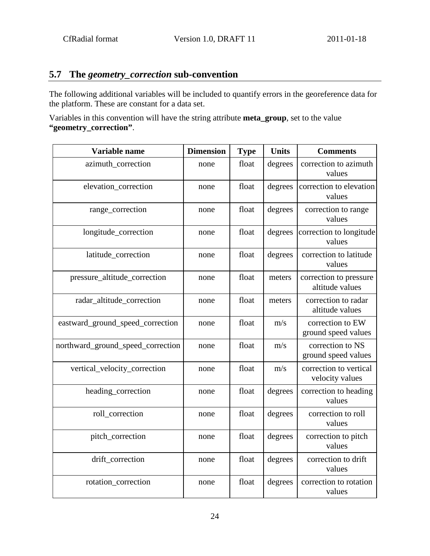### <span id="page-23-0"></span>**5.7 The** *geometry\_correction* **sub-convention**

The following additional variables will be included to quantify errors in the georeference data for the platform. These are constant for a data set.

Variables in this convention will have the string attribute **meta\_group**, set to the value **"geometry\_correction"**.

| Variable name                     | <b>Dimension</b> | <b>Type</b> | <b>Units</b> | <b>Comments</b>                           |
|-----------------------------------|------------------|-------------|--------------|-------------------------------------------|
| azimuth_correction                | none             | float       | degrees      | correction to azimuth<br>values           |
| elevation_correction              | none             | float       | degrees      | correction to elevation<br>values         |
| range_correction                  | none             | float       | degrees      | correction to range<br>values             |
| longitude_correction              | none             | float       | degrees      | correction to longitude<br>values         |
| latitude_correction               | none             | float       | degrees      | correction to latitude<br>values          |
| pressure_altitude_correction      | none             | float       | meters       | correction to pressure<br>altitude values |
| radar_altitude_correction         | none             | float       | meters       | correction to radar<br>altitude values    |
| eastward_ground_speed_correction  | none             | float       | m/s          | correction to EW<br>ground speed values   |
| northward_ground_speed_correction | none             | float       | m/s          | correction to NS<br>ground speed values   |
| vertical_velocity_correction      | none             | float       | m/s          | correction to vertical<br>velocity values |
| heading_correction                | none             | float       | degrees      | correction to heading<br>values           |
| roll_correction                   | none             | float       | degrees      | correction to roll<br>values              |
| pitch_correction                  | none             | float       | degrees      | correction to pitch<br>values             |
| drift_correction                  | none             | float       | degrees      | correction to drift<br>values             |
| rotation_correction               | none             | float       | degrees      | correction to rotation<br>values          |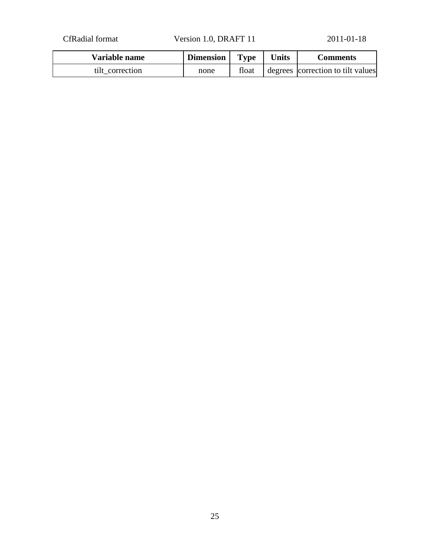CfRadial format Version 1.0, DRAFT 11 2011-01-18

| Variable name   | <b>Dimension</b> | <b>Type</b> | <b>Units</b> | Comments                          |
|-----------------|------------------|-------------|--------------|-----------------------------------|
| tilt correction | none             | float       |              | degrees correction to tilt values |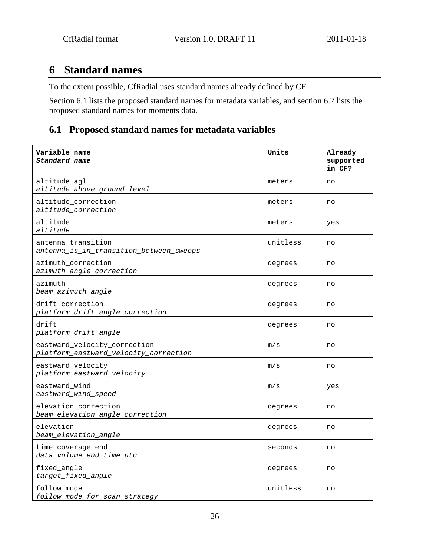## <span id="page-25-0"></span>**6 Standard names**

To the extent possible, CfRadial uses standard names already defined by CF.

Section 6.1 lists the proposed standard names for metadata variables, and section 6.2 lists the proposed standard names for moments data.

### <span id="page-25-1"></span>**6.1 Proposed standard names for metadata variables**

| Variable name<br>Standard name                                        | Units    | Already<br>supported<br>in CF? |
|-----------------------------------------------------------------------|----------|--------------------------------|
| altitude agl<br>altitude_above_ground_level                           | meters   | no                             |
| altitude_correction<br>altitude_correction                            | meters   | no                             |
| altitude<br>altitude                                                  | meters   | yes                            |
| antenna transition<br>antenna_is_in_transition_between_sweeps         | unitless | no                             |
| azimuth correction<br>azimuth_angle_correction                        | degrees  | no                             |
| azimuth<br>beam_azimuth_angle                                         | degrees  | no                             |
| drift_correction<br>platform_drift_angle_correction                   | degrees  | no                             |
| drift<br>platform_drift_angle                                         | degrees  | no                             |
| eastward_velocity_correction<br>platform_eastward_velocity_correction | m/s      | no                             |
| eastward_velocity<br>platform_eastward_velocity                       | m/s      | no                             |
| eastward_wind<br>eastward_wind_speed                                  | m/s      | yes                            |
| elevation correction<br>beam_elevation_angle_correction               | degrees  | no                             |
| elevation<br>beam_elevation_angle                                     | degrees  | no                             |
| time_coverage_end<br>data_volume_end_time_utc                         | seconds  | no                             |
| fixed_angle<br>target_fixed_angle                                     | degrees  | no                             |
| follow mode<br>follow_mode_for_scan_strategy                          | unitless | no                             |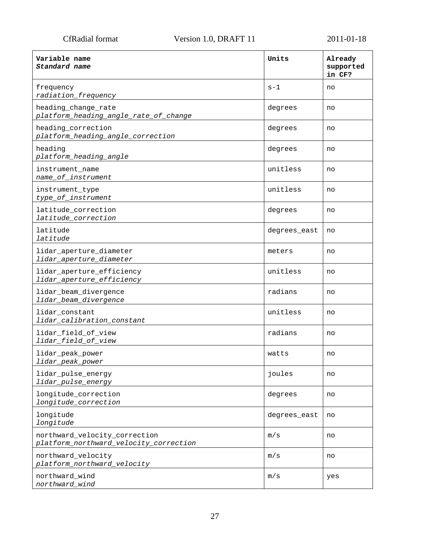| Variable name<br>Standard name                                          | Units        | Already<br>supported<br>in CF? |
|-------------------------------------------------------------------------|--------------|--------------------------------|
| frequency<br>radiation_frequency                                        | $s-1$        | no                             |
| heading_change_rate<br>platform_heading_angle_rate_of_change            | degrees      | no                             |
| heading correction<br>platform_heading_angle_correction                 | degrees      | no                             |
| heading<br>platform_heading_angle                                       | degrees      | no                             |
| instrument name<br>name_of_instrument                                   | unitless     | no                             |
| instrument_type<br>type_of_instrument                                   | unitless     | no                             |
| latitude correction<br>latitude_correction                              | degrees      | no                             |
| latitude<br>latitude                                                    | degrees_east | no                             |
| lidar_aperture_diameter<br>lidar_aperture_diameter                      | meters       | no                             |
| lidar_aperture_efficiency<br>lidar_aperture_efficiency                  | unitless     | no                             |
| lidar_beam_divergence<br>lidar_beam_divergence                          | radians      | no                             |
| lidar_constant<br>lidar_calibration_constant                            | unitless     | no                             |
| lidar_field_of_view<br>lidar_field_of_view                              | radians      | no                             |
| lidar_peak_power<br>lidar_peak_power                                    | watts        | no                             |
| lidar_pulse_energy<br>lidar_pulse_energy                                | joules       | no                             |
| longitude_correction<br>longitude_correction                            | degrees      | no                             |
| longitude<br>longitude                                                  | degrees_east | no                             |
| northward_velocity_correction<br>platform_northward_velocity_correction | m/s          | no                             |
| northward_velocity<br>platform_northward_velocity                       | m/s          | no                             |
| northward_wind<br>northward_wind                                        | m/s          | yes                            |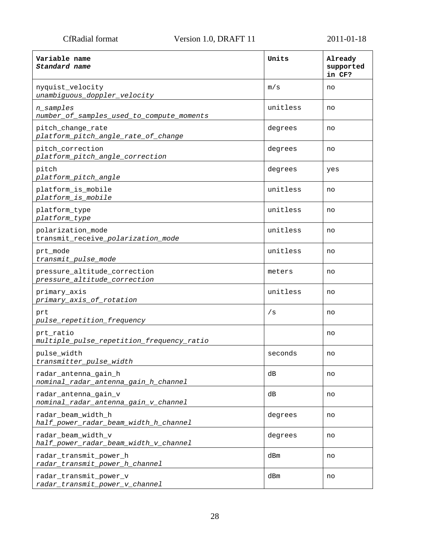| Variable name<br>Standard name                               | Units    | Already<br>supported<br>in CF? |
|--------------------------------------------------------------|----------|--------------------------------|
| nyquist_velocity<br>unambiguous_doppler_velocity             | m/s      | no                             |
| n_samples<br>number_of_samples_used_to_compute_moments       | unitless | no                             |
| pitch_change_rate<br>platform_pitch_angle_rate_of_change     | degrees  | no                             |
| pitch_correction<br>platform_pitch_angle_correction          | degrees  | no                             |
| pitch<br>platform_pitch_angle                                | degrees  | yes                            |
| platform_is_mobile<br>platform_is_mobile                     | unitless | no                             |
| platform_type<br>platform_type                               | unitless | no                             |
| polarization_mode<br>transmit_receive_polarization_mode      | unitless | no                             |
| prt mode<br>transmit_pulse_mode                              | unitless | no                             |
| pressure_altitude_correction<br>pressure_altitude_correction | meters   | no                             |
| primary_axis<br>primary_axis_of_rotation                     | unitless | no                             |
| prt<br>pulse_repetition_frequency                            | /s       | no                             |
| prt ratio<br>multiple_pulse_repetition_frequency_ratio       |          | no                             |
| pulse_width<br>transmitter_pulse_width                       | seconds  | no                             |
| radar_antenna_gain_h<br>nominal_radar_antenna_gain_h_channel | dВ       | no                             |
| radar_antenna_gain_v<br>nominal_radar_antenna_gain_v_channel | dВ       | no                             |
| radar_beam_width_h<br>half_power_radar_beam_width_h_channel  | degrees  | no                             |
| radar beam width v<br>half_power_radar_beam_width_v_channel  | degrees  | no                             |
| radar_transmit_power_h<br>radar_transmit_power_h_channel     | dBm      | no                             |
| radar_transmit_power_v<br>radar_transmit_power_v_channel     | dBm      | no                             |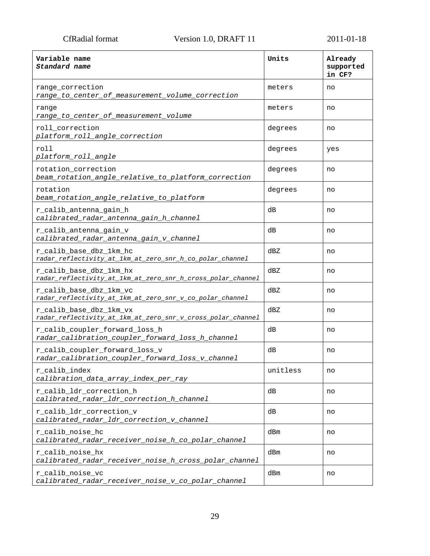| Variable name<br>Standard name                                                         | Units    | Already<br>supported<br>in CF? |
|----------------------------------------------------------------------------------------|----------|--------------------------------|
| range correction<br>range_to_center_of_measurement_volume_correction                   | meters   | no                             |
| range<br>range_to_center_of_measurement_volume                                         | meters   | no                             |
| roll_correction<br>platform_roll_angle_correction                                      | degrees  | no                             |
| roll<br>platform_roll_angle                                                            | degrees  | yes                            |
| rotation_correction<br>beam_rotation_angle_relative_to_platform_correction             | degrees  | no                             |
| rotation<br>beam_rotation_angle_relative_to_platform                                   | degrees  | no                             |
| r_calib_antenna_gain_h<br>calibrated_radar_antenna_gain_h_channel                      | dВ       | no                             |
| r calib antenna gain v<br>calibrated_radar_antenna_gain_v_channel                      | dВ       | no                             |
| r_calib_base_dbz_1km_hc<br>radar_reflectivity_at_1km_at_zero_snr_h_co_polar_channel    | dBZ      | no                             |
| r_calib_base_dbz_1km_hx<br>radar_reflectivity_at_1km_at_zero_snr_h_cross_polar_channel | dBZ      | no                             |
| r_calib_base_dbz_1km_vc<br>radar_reflectivity_at_1km_at_zero_snr_v_co_polar_channel    | dBZ      | no                             |
| r_calib_base_dbz_1km_vx<br>radar_reflectivity_at_1km_at_zero_snr_v_cross_polar_channel | dBZ      | no                             |
| r_calib_coupler_forward_loss_h<br>radar_calibration_coupler_forward_loss_h_channel     | dВ       | no                             |
| r_calib_coupler_forward_loss_v<br>radar_calibration_coupler_forward_loss_v_channel     | dВ       | no                             |
| r_calib_index<br>calibration_data_array_index_per_ray                                  | unitless | no                             |
| r calib ldr correction h<br>calibrated_radar_ldr_correction_h_channel                  | dВ       | no                             |
| r_calib_ldr_correction_v<br>calibrated_radar_ldr_correction_v_channel                  | dВ       | no                             |
| r calib noise ho<br>calibrated_radar_receiver_noise_h_co_polar_channel                 | dBm      | no                             |
| r_calib_noise_hx<br>calibrated_radar_receiver_noise_h_cross_polar_channel              | dBm      | no                             |
| r_calib_noise_vc<br>calibrated_radar_receiver_noise_v_co_polar_channel                 | dBm      | no                             |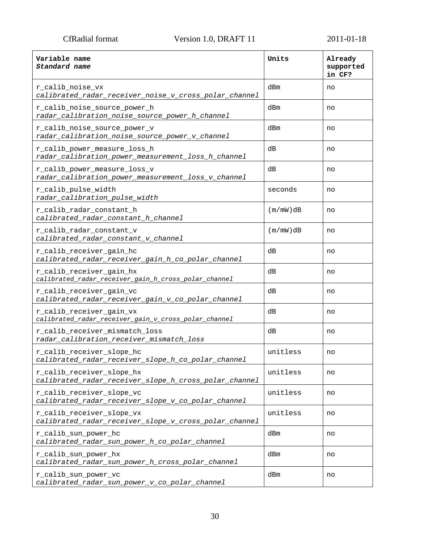| Variable name<br>Standard name                                                     | Units    | Already<br>supported<br>in CF? |
|------------------------------------------------------------------------------------|----------|--------------------------------|
| r_calib_noise_vx<br>calibrated_radar_receiver_noise_v_cross_polar_channel          | dBm      | no                             |
| r_calib_noise_source_power_h<br>radar_calibration_noise_source_power_h_channel     | dBm      | no                             |
| r_calib_noise_source_power_v<br>radar_calibration_noise_source_power_v_channel     | dBm      | no                             |
| r_calib_power_measure_loss_h<br>radar_calibration_power_measurement_loss_h_channel | dВ       | no                             |
| r_calib_power_measure_loss_v<br>radar_calibration_power_measurement_loss_v_channel | dВ       | no                             |
| r_calib_pulse_width<br>radar_calibration_pulse_width                               | seconds  | no                             |
| r_calib_radar_constant_h<br>calibrated_radar_constant_h_channel                    | (m/mW)dB | no                             |
| r_calib_radar_constant_v<br>calibrated_radar_constant_v_channel                    | (m/mW)dB | no                             |
| r_calib_receiver_gain_hc<br>calibrated_radar_receiver_gain_h_co_polar_channel      | dB       | no                             |
| r_calib_receiver_gain_hx<br>calibrated_radar_receiver_gain_h_cross_polar_channel   | dВ       | no                             |
| r_calib_receiver_gain_vc<br>calibrated_radar_receiver_gain_v_co_polar_channel      | dВ       | no                             |
| r_calib_receiver_gain_vx<br>calibrated_radar_receiver_gain_v_cross_polar_channel   | dВ       | no                             |
| r calib receiver mismatch loss<br>radar_calibration_receiver_mismatch_loss         | dВ       | no                             |
| r_calib_receiver_slope_hc<br>calibrated_radar_receiver_slope_h_co_polar_channel    | unitless | no                             |
| r_calib_receiver_slope_hx<br>calibrated_radar_receiver_slope_h_cross_polar_channel | unitless |                                |
| r_calib_receiver_slope_vc<br>calibrated_radar_receiver_slope_v_co_polar_channel    | unitless | no                             |
| r_calib_receiver_slope_vx<br>calibrated_radar_receiver_slope_v_cross_polar_channel | unitless | no                             |
| r_calib_sun_power_hc<br>calibrated_radar_sun_power_h_co_polar_channel              | dBm      | no                             |
| r_calib_sun_power_hx<br>calibrated_radar_sun_power_h_cross_polar_channel           | dBm      | no                             |
| r_calib_sun_power_vc<br>calibrated_radar_sun_power_v_co_polar_channel              | dBm      | no                             |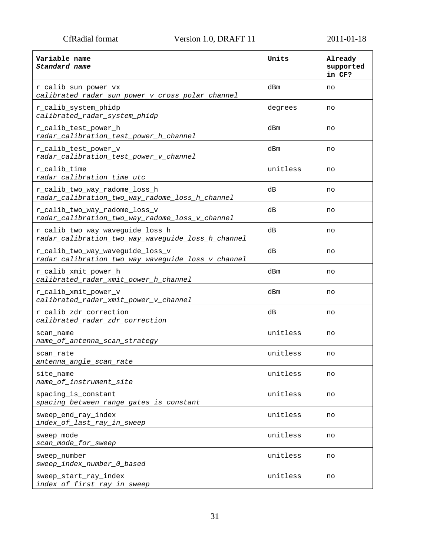| Variable name<br>Standard name                                                         | Units    | Already<br>supported<br>in CF? |
|----------------------------------------------------------------------------------------|----------|--------------------------------|
| r_calib_sun_power_vx<br>calibrated_radar_sun_power_v_cross_polar_channel               | dBm      | no                             |
| r_calib_system_phidp<br>calibrated_radar_system_phidp                                  | degrees  | no                             |
| r_calib_test_power_h<br>radar_calibration_test_power_h_channel                         | dBm      | no                             |
| r_calib_test_power_v<br>radar_calibration_test_power_v_channel                         | dBm      | no                             |
| r_calib_time<br>radar_calibration_time_utc                                             | unitless | no                             |
| r_calib_two_way_radome_loss_h<br>radar_calibration_two_way_radome_loss_h_channel       | dВ       | no                             |
| r_calib_two_way_radome_loss_v<br>radar_calibration_two_way_radome_loss_v_channel       | dВ       | no                             |
| r_calib_two_way_waveguide_loss_h<br>radar_calibration_two_way_waveguide_loss_h_channel | dВ       | no                             |
| r_calib_two_way_waveguide_loss_v<br>radar_calibration_two_way_waveguide_loss_v_channel | dВ       | no                             |
| r_calib_xmit_power_h<br>calibrated_radar_xmit_power_h_channel                          | dBm      | no                             |
| r_calib_xmit_power_v<br>calibrated_radar_xmit_power_v_channel                          | dBm      | no                             |
| r_calib_zdr_correction<br>calibrated_radar_zdr_correction                              | dВ       | no                             |
| scan name<br>name_of_antenna_scan_strategy                                             | unitless | no                             |
| scan rate<br>antenna_angle_scan_rate                                                   | unitless | no                             |
| site name<br>name_of_instrument_site                                                   | unitless | no                             |
| spacing_is_constant<br>spacing_between_range_gates_is_constant                         | unitless | no                             |
| sweep_end_ray_index<br>index_of_last_ray_in_sweep                                      | unitless | no                             |
| sweep_mode<br>scan_mode_for_sweep                                                      | unitless | no                             |
| sweep number<br>sweep_index_number_0_based                                             | unitless | no                             |
| sweep_start_ray_index<br>index_of_first_ray_in_sweep                                   | unitless | no                             |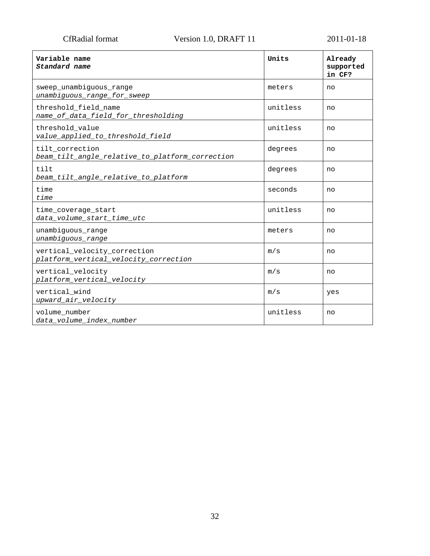| Variable name<br>Standard name                                        | Units    | Already<br>supported<br>in CF? |
|-----------------------------------------------------------------------|----------|--------------------------------|
| sweep_unambiguous_range<br>unambiguous_range_for_sweep                | meters   | no                             |
| threshold field name<br>name_of_data_field_for_thresholding           | unitless | no                             |
| threshold_value<br>value_applied_to_threshold_field                   | unitless | no                             |
| tilt correction<br>beam_tilt_angle_relative_to_platform_correction    | degrees  | no                             |
| tilt<br>beam_tilt_angle_relative_to_platform                          | degrees  | no                             |
| time<br>time                                                          | seconds  | no                             |
| time coverage start<br>data_volume_start_time_utc                     | unitless | no                             |
| unambiguous_range<br>unambiguous_range                                | meters   | no                             |
| vertical_velocity_correction<br>platform_vertical_velocity_correction | m/s      | no                             |
| vertical_velocity<br>platform_vertical_velocity                       | m/s      | no                             |
| vertical wind<br>upward_air_velocity                                  | m/s      | yes                            |
| volume number<br>data volume index number                             | unitless | no                             |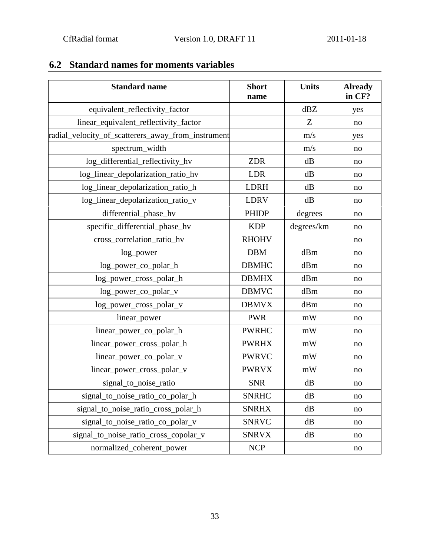| <b>Standard name</b>                               | <b>Short</b> | <b>Units</b> | <b>Already</b><br>in CF? |
|----------------------------------------------------|--------------|--------------|--------------------------|
|                                                    | name         | dBZ          |                          |
| equivalent_reflectivity_factor                     |              |              | yes                      |
| linear_equivalent_reflectivity_factor              |              | Z            | no                       |
| radial_velocity_of_scatterers_away_from_instrument |              | m/s          | yes                      |
| spectrum_width                                     |              | m/s          | no                       |
| log_differential_reflectivity_hv                   | <b>ZDR</b>   | dB           | no                       |
| log_linear_depolarization_ratio_hv                 | <b>LDR</b>   | dB           | no                       |
| log_linear_depolarization_ratio_h                  | <b>LDRH</b>  | dB           | no                       |
| log_linear_depolarization_ratio_v                  | <b>LDRV</b>  | dB           | no                       |
| differential_phase_hv                              | <b>PHIDP</b> | degrees      | no                       |
| specific_differential_phase_hv                     | <b>KDP</b>   | degrees/km   | no                       |
| cross_correlation_ratio_hv                         | <b>RHOHV</b> |              | no                       |
| log_power                                          | <b>DBM</b>   | dBm          | no                       |
| log_power_co_polar_h                               | <b>DBMHC</b> | dBm          | no                       |
| log_power_cross_polar_h                            | <b>DBMHX</b> | dBm          | no                       |
| log_power_co_polar_v                               | <b>DBMVC</b> | dBm          | no                       |
| log_power_cross_polar_v                            | <b>DBMVX</b> | dBm          | no                       |
| linear_power                                       | <b>PWR</b>   | mW           | no                       |
| linear_power_co_polar_h                            | <b>PWRHC</b> | mW           | no                       |
| linear_power_cross_polar_h                         | <b>PWRHX</b> | mW           | no                       |
| linear_power_co_polar_v                            | <b>PWRVC</b> | mW           | no                       |
| linear_power_cross_polar_v                         | <b>PWRVX</b> | mW           | no                       |
| signal_to_noise_ratio                              | <b>SNR</b>   | dB           | no                       |
| signal_to_noise_ratio_co_polar_h                   | <b>SNRHC</b> | dB           | no                       |
| signal_to_noise_ratio_cross_polar_h                | <b>SNRHX</b> | dB           | no                       |
| signal_to_noise_ratio_co_polar_v                   | <b>SNRVC</b> | dB           | no                       |
| signal_to_noise_ratio_cross_copolar_v              | <b>SNRVX</b> | dB           | no                       |
| normalized_coherent_power                          | <b>NCP</b>   |              | no                       |

## <span id="page-32-0"></span>**6.2 Standard names for moments variables**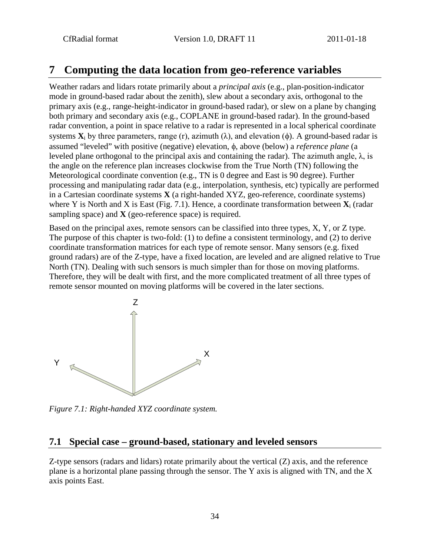## <span id="page-33-0"></span>**7 Computing the data location from geo-reference variables**

Weather radars and lidars rotate primarily about a *principal axis* (e.g., plan-position-indicator mode in ground-based radar about the zenith), slew about a secondary axis, orthogonal to the primary axis (e.g., range-height-indicator in ground-based radar), or slew on a plane by changing both primary and secondary axis (e.g., COPLANE in ground-based radar). In the ground-based radar convention, a point in space relative to a radar is represented in a local spherical coordinate systems  $X_i$  by three parameters, range (r), azimuth ( $\lambda$ ), and elevation ( $\phi$ ). A ground-based radar is assumed "leveled" with positive (negative) elevation, φ, above (below) a *reference plane* (a leveled plane orthogonal to the principal axis and containing the radar). The azimuth angle, λ, is the angle on the reference plan increases clockwise from the True North (TN) following the Meteorological coordinate convention (e.g., TN is 0 degree and East is 90 degree). Further processing and manipulating radar data (e.g., interpolation, synthesis, etc) typically are performed in a Cartesian coordinate systems **X** (a right-handed XYZ, geo-reference, coordinate systems) where Y is North and X is East (Fig. 7.1). Hence, a coordinate transformation between **X**<sup>i</sup> (radar sampling space) and **X** (geo-reference space) is required.

Based on the principal axes, remote sensors can be classified into three types, X, Y, or Z type. The purpose of this chapter is two-fold: (1) to define a consistent terminology, and (2) to derive coordinate transformation matrices for each type of remote sensor. Many sensors (e.g. fixed ground radars) are of the Z-type, have a fixed location, are leveled and are aligned relative to True North (TN). Dealing with such sensors is much simpler than for those on moving platforms. Therefore, they will be dealt with first, and the more complicated treatment of all three types of remote sensor mounted on moving platforms will be covered in the later sections.



*Figure 7.1: Right-handed XYZ coordinate system.*

### <span id="page-33-1"></span>**7.1 Special case – ground-based, stationary and leveled sensors**

Z-type sensors (radars and lidars) rotate primarily about the vertical (Z) axis, and the reference plane is a horizontal plane passing through the sensor. The Y axis is aligned with TN, and the X axis points East.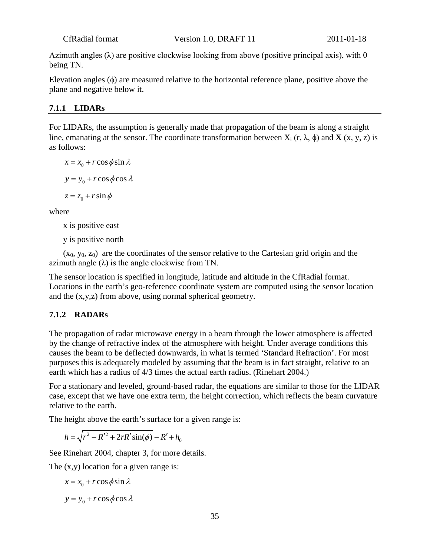Azimuth angles  $(\lambda)$  are positive clockwise looking from above (positive principal axis), with 0 being TN.

Elevation angles (φ) are measured relative to the horizontal reference plane, positive above the plane and negative below it.

#### <span id="page-34-2"></span><span id="page-34-0"></span>**7.1.1 LIDARs**

For LIDARs, the assumption is generally made that propagation of the beam is along a straight line, emanating at the sensor. The coordinate transformation between  $X_i$  (r,  $\lambda$ ,  $\phi$ ) and **X** (x, y, z) is as follows:

 $x = x_0 + r \cos \phi \sin \lambda$  $y = y_0 + r \cos \phi \cos \lambda$  $z = z_0 + r \sin \phi$ 

where

x is positive east

y is positive north

 $(x_0, y_0, z_0)$  are the coordinates of the sensor relative to the Cartesian grid origin and the azimuth angle  $(\lambda)$  is the angle clockwise from TN.

The sensor location is specified in longitude, latitude and altitude in the CfRadial format. Locations in the earth's geo-reference coordinate system are computed using the sensor location and the (x,y,z) from above, using normal spherical geometry.

#### <span id="page-34-1"></span>**7.1.2 RADARs**

The propagation of radar microwave energy in a beam through the lower atmosphere is affected by the change of refractive index of the atmosphere with height. Under average conditions this causes the beam to be deflected downwards, in what is termed 'Standard Refraction'. For most purposes this is adequately modeled by assuming that the beam is in fact straight, relative to an earth which has a radius of 4/3 times the actual earth radius. (Rinehart 2004.)

For a stationary and leveled, ground-based radar, the equations are similar to those for the LIDAR case, except that we have one extra term, the height correction, which reflects the beam curvature relative to the earth.

The height above the earth's surface for a given range is:

$$
h = \sqrt{r^2 + R'^2 + 2rR'\sin(\phi)} - R' + h_0
$$

See Rinehart 2004, chapter 3, for more details.

The (x,y) location for a given range is:

 $x = x_0 + r \cos \phi \sin \lambda$ 

 $y = y_0 + r \cos \phi \cos \lambda$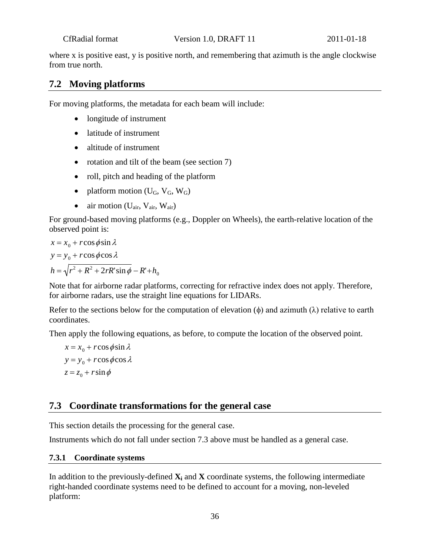where x is positive east, y is positive north, and remembering that azimuth is the angle clockwise from true north.

### <span id="page-35-0"></span>**7.2 Moving platforms**

For moving platforms, the metadata for each beam will include:

- longitude of instrument
- latitude of instrument
- altitude of instrument
- rotation and tilt of the beam (see section 7)
- roll, pitch and heading of the platform
- platform motion  $(U_G, V_G, W_G)$
- air motion  $(U_{air}, V_{air}, W_{air})$

For ground-based moving platforms (e.g., Doppler on Wheels), the earth-relative location of the observed point is:

$$
x = x_0 + r \cos \phi \sin \lambda
$$
  
\n
$$
y = y_0 + r \cos \phi \cos \lambda
$$
  
\n
$$
h = \sqrt{r^2 + R^2 + 2rR' \sin \phi} - R' + h_0
$$

Note that for airborne radar platforms, correcting for refractive index does not apply. Therefore, for airborne radars, use the straight line equations for LIDARs.

Refer to the sections below for the computation of elevation  $(\phi)$  and azimuth  $(\lambda)$  relative to earth coordinates.

Then apply the following equations, as before, to compute the location of the observed point.

 $x = x_0 + r \cos \phi \sin \lambda$  $y = y_0 + r \cos \phi \cos \lambda$  $z = z_0 + r \sin \phi$ 

### <span id="page-35-1"></span>**7.3 Coordinate transformations for the general case**

This section details the processing for the general case.

<span id="page-35-2"></span>Instruments which do not fall under section 7.3 above must be handled as a general case.

#### **7.3.1 Coordinate systems**

In addition to the previously-defined  $\mathbf{X}_i$  and  $\mathbf{X}_i$  coordinate systems, the following intermediate right-handed coordinate systems need to be defined to account for a moving, non-leveled platform: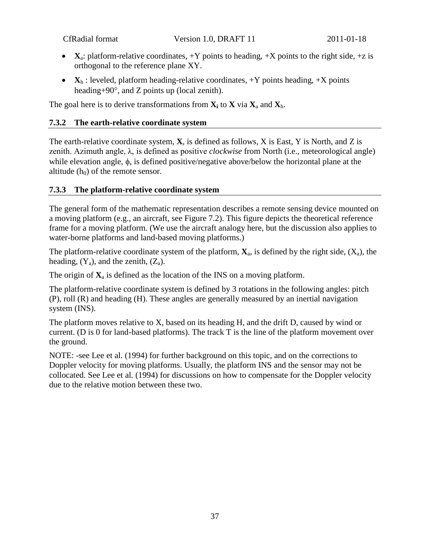- $\mathbf{X}_a$ : platform-relative coordinates,  $+Y$  points to heading,  $+X$  points to the right side,  $+z$  is orthogonal to the reference plane XY.
- $X_h$ : leveled, platform heading-relative coordinates,  $+Y$  points heading,  $+X$  points heading+90°, and Z points up (local zenith).

<span id="page-36-0"></span>The goal here is to derive transformations from  $X_i$  to  $X$  via  $X_a$  and  $X_h$ .

#### **7.3.2 The earth-relative coordinate system**

The earth-relative coordinate system, **X**, is defined as follows, X is East, Y is North, and Z is zenith. Azimuth angle, λ, is defined as positive *clockwise* from North (i.e., meteorological angle) while elevation angle, φ, is defined positive/negative above/below the horizontal plane at the altitude  $(h_0)$  of the remote sensor.

#### <span id="page-36-1"></span>**7.3.3 The platform-relative coordinate system**

The general form of the mathematic representation describes a remote sensing device mounted on a moving platform (e.g., an aircraft, see Figure 7.2). This figure depicts the theoretical reference frame for a moving platform. (We use the aircraft analogy here, but the discussion also applies to water-borne platforms and land-based moving platforms.)

The platform-relative coordinate system of the platform,  $\mathbf{X}_a$ , is defined by the right side,  $(X_a)$ , the heading,  $(Y_a)$ , and the zenith,  $(Z_a)$ .

The origin of  $\mathbf{X}_a$  is defined as the location of the INS on a moving platform.

The platform-relative coordinate system is defined by 3 rotations in the following angles: pitch (P), roll (R) and heading (H). These angles are generally measured by an inertial navigation system (INS).

The platform moves relative to X, based on its heading H, and the drift D, caused by wind or current. (D is 0 for land-based platforms). The track T is the line of the platform movement over the ground.

NOTE: -see Lee et al. (1994) for further background on this topic, and on the corrections to Doppler velocity for moving platforms. Usually, the platform INS and the sensor may not be collocated. See Lee et al. (1994) for discussions on how to compensate for the Doppler velocity due to the relative motion between these two.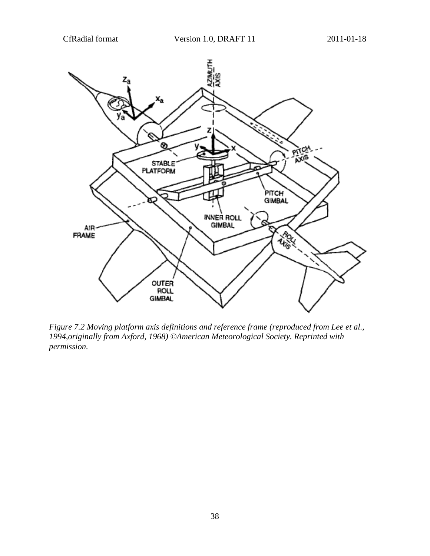

*Figure 7.2 Moving platform axis definitions and reference frame (reproduced from Lee et al., 1994,originally from Axford, 1968) ©American Meteorological Society. Reprinted with permission.*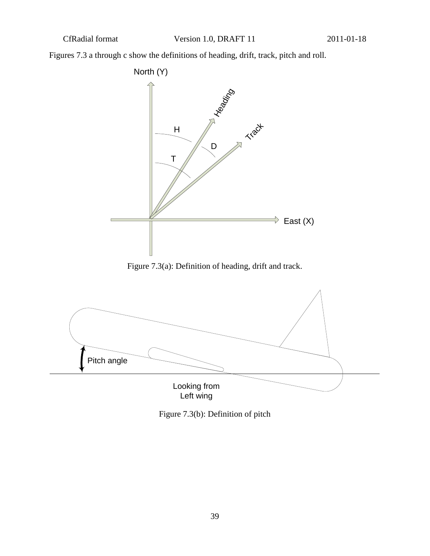Figures 7.3 a through c show the definitions of heading, drift, track, pitch and roll.



Figure 7.3(a): Definition of heading, drift and track.



Figure 7.3(b): Definition of pitch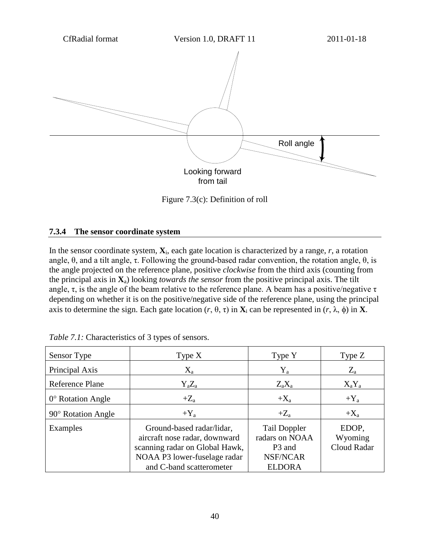

Figure 7.3(c): Definition of roll

#### <span id="page-39-0"></span>**7.3.4 The sensor coordinate system**

In the sensor coordinate system,  $\mathbf{X}_i$ , each gate location is characterized by a range, *r*, a rotation angle,  $\theta$ , and a tilt angle,  $\tau$ . Following the ground-based radar convention, the rotation angle,  $\theta$ , is the angle projected on the reference plane, positive *clockwise* from the third axis (counting from the principal axis in **X**a) looking *towards the sensor* from the positive principal axis. The tilt angle,  $\tau$ , is the angle of the beam relative to the reference plane. A beam has a positive/negative  $\tau$ depending on whether it is on the positive/negative side of the reference plane, using the principal axis to determine the sign. Each gate location (*r*, θ, τ) in **X**<sup>i</sup> can be represented in (*r*, λ, φ) in **X**.

| Sensor Type                | Type $X$                                                                                                                                                 | Type Y                                                                                          | Type $Z$                        |
|----------------------------|----------------------------------------------------------------------------------------------------------------------------------------------------------|-------------------------------------------------------------------------------------------------|---------------------------------|
| Principal Axis             | $X_{a}$                                                                                                                                                  | $Y_a$                                                                                           | $Z_{\rm a}$                     |
| <b>Reference Plane</b>     | $Y_aZ_a$                                                                                                                                                 | $Z_a X_a$                                                                                       | $X_aY_a$                        |
| $0^{\circ}$ Rotation Angle | $+Z_{a}$                                                                                                                                                 | $+X_a$                                                                                          | $+Y_a$                          |
| $90^\circ$ Rotation Angle  | $+Y_a$                                                                                                                                                   | $+Z_{a}$                                                                                        | $+X_a$                          |
| Examples                   | Ground-based radar/lidar,<br>aircraft nose radar, downward<br>scanning radar on Global Hawk,<br>NOAA P3 lower-fuselage radar<br>and C-band scatterometer | <b>Tail Doppler</b><br>radars on NOAA<br>P <sub>3</sub> and<br><b>NSF/NCAR</b><br><b>ELDORA</b> | EDOP,<br>Wyoming<br>Cloud Radar |

*Table 7.1:* Characteristics of 3 types of sensors.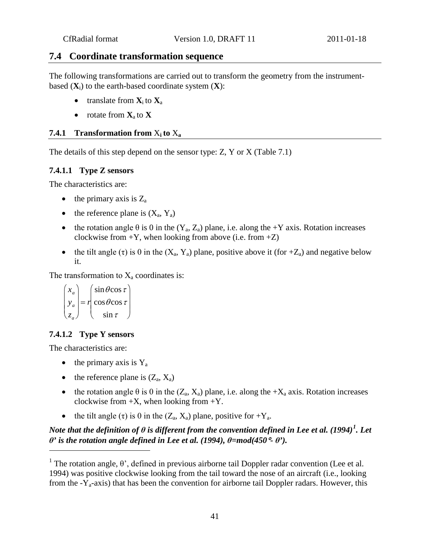#### <span id="page-40-0"></span>**7.4 Coordinate transformation sequence**

The following transformations are carried out to transform the geometry from the instrumentbased  $(X_i)$  to the earth-based coordinate system  $(X)$ :

- translate from  $X_i$  to  $X_a$
- rotate from **X**a to **X**

#### <span id="page-40-1"></span>**7.4.1 Transformation from**  $X_i$  to  $X_a$

<span id="page-40-2"></span>The details of this step depend on the sensor type: Z, Y or X (Table 7.1)

#### **7.4.1.1 Type Z sensors**

The characteristics are:

- the primary axis is  $Z_a$
- the reference plane is  $(X_a, Y_a)$
- the rotation angle  $\theta$  is 0 in the  $(Y_a, Z_a)$  plane, i.e. along the +Y axis. Rotation increases clockwise from  $+Y$ , when looking from above (i.e. from  $+Z$ )
- the tilt angle (τ) is 0 in the  $(X_a, Y_a)$  plane, positive above it (for  $+Z_a$ ) and negative below it.

The transformation to  $X_a$  coordinates is:

$$
\begin{pmatrix} x_a \\ y_a \\ z_a \end{pmatrix} = r \begin{pmatrix} \sin \theta \cos \tau \\ \cos \theta \cos \tau \\ \sin \tau \end{pmatrix}
$$

#### <span id="page-40-3"></span>**7.4.1.2 Type Y sensors**

The characteristics are:

<u>.</u>

- the primary axis is  $Y_a$
- the reference plane is  $(Z_a, X_a)$
- the rotation angle  $\theta$  is 0 in the  $(Z_a, X_a)$  plane, i.e. along the  $+X_a$  axis. Rotation increases clockwise from  $+X$ , when looking from  $+Y$ .
- the tilt angle  $(\tau)$  is 0 in the  $(Z_a, X_a)$  plane, positive for  $+Y_a$ .

### *Note that the definition of*  $\theta$  *is different from the convention defined in Lee et al. ([1](#page-40-4)994)* $^1$ *. Let θ*<sup>*'*</sup> is the rotation angle defined in Lee et al. (1994),  $θ = mod(450° - θ')$ .

<span id="page-40-4"></span><sup>&</sup>lt;sup>1</sup> The rotation angle,  $\theta$ ', defined in previous airborne tail Doppler radar convention (Lee et al. 1994) was positive clockwise looking from the tail toward the nose of an aircraft (i.e., looking from the  $-Y_a$ -axis) that has been the convention for airborne tail Doppler radars. However, this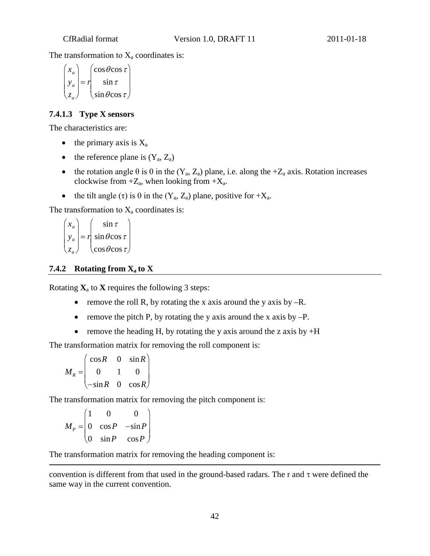The transformation to  $X_a$  coordinates is:

$$
\begin{pmatrix} x_a \\ y_a \\ z_a \end{pmatrix} = r \begin{pmatrix} \cos \theta \cos \tau \\ \sin \tau \\ \sin \theta \cos \tau \end{pmatrix}
$$

### <span id="page-41-0"></span>**7.4.1.3 Type X sensors**

The characteristics are:

- the primary axis is  $X_a$
- the reference plane is  $(Y_a, Z_a)$
- the rotation angle  $\theta$  is 0 in the  $(Y_a, Z_a)$  plane, i.e. along the +Z<sub>a</sub> axis. Rotation increases clockwise from  $+Z_a$ , when looking from  $+X_a$ .
- the tilt angle  $(\tau)$  is 0 in the  $(Y_a, Z_a)$  plane, positive for  $+X_a$ .

The transformation to  $X_a$  coordinates is:

$$
\begin{pmatrix} x_a \\ y_a \\ z_a \end{pmatrix} = r \begin{pmatrix} \sin \tau \\ \sin \theta \cos \tau \\ \cos \theta \cos \tau \end{pmatrix}
$$

#### <span id="page-41-1"></span>**7.4.2 Rotating from**  $X_a$  **to X**

Rotating  $\mathbf{X}_a$  to  $\mathbf{X}$  requires the following 3 steps:

- remove the roll R, by rotating the x axis around the y axis by  $-R$ .
- remove the pitch P, by rotating the y axis around the x axis by  $-P$ .
- remove the heading H, by rotating the y axis around the z axis by  $+H$

The transformation matrix for removing the roll component is:

 $M_R =$ cos*R* 0 sin*R* 0 1 0 −sin*R* 0 cos*R*  $\sqrt{2}$  $\setminus$  $\mathbf{L}$  $\overline{\phantom{a}}$  $\setminus$ J  $\mathbf{I}$  $\overline{\phantom{a}}$ 

The transformation matrix for removing the pitch component is:

 $M_{P} =$ 1 0 0 0 cos*P* −sin*P* 0 sin*P* cos*P*  $\left( \begin{array}{c} 1 \end{array} \right)$  $\setminus$  $\vert$ ,  $\begin{bmatrix} 1 \\ 1 \end{bmatrix}$  $\setminus$ J  $\frac{1}{2}$  $\overline{\phantom{a}}$ 

 $\overline{a}$ 

The transformation matrix for removing the heading component is:

convention is different from that used in the ground-based radars. The r and  $\tau$  were defined the same way in the current convention.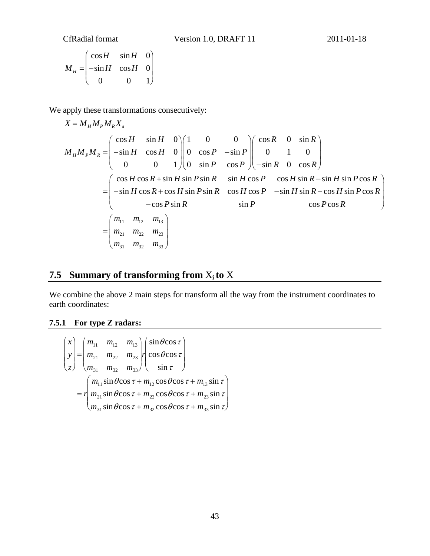$$
M_{H} = \begin{pmatrix} \cos H & \sin H & 0 \\ -\sin H & \cos H & 0 \\ 0 & 0 & 1 \end{pmatrix}
$$

We apply these transformations consecutively:

$$
X = M_{H}M_{P}M_{R}X_{a}
$$
  
\n
$$
M_{H}M_{P}M_{R} = \begin{pmatrix} \cos H & \sin H & 0 \\ -\sin H & \cos H & 0 \\ 0 & 0 & 1 \end{pmatrix} \begin{pmatrix} 1 & 0 & 0 \\ 0 & \cos P & -\sin P \\ 0 & \sin P & \cos P \end{pmatrix} \begin{pmatrix} \cos R & 0 & \sin R \\ 0 & 1 & 0 \\ -\sin R & 0 & \cos R \end{pmatrix}
$$
  
\n
$$
= \begin{pmatrix} \cos H \cos R + \sin H \sin P \sin R & \sin H \cos P & \cos H \sin R - \sin H \sin P \cos R \\ -\sin H \cos R + \cos H \sin P \sin R & \cos H \cos P & -\sin H \sin R - \cos H \sin P \cos R \\ -\cos P \sin R & \sin P & \cos P \cos R \\ \sin P & \cos P \cos R & \cos P \cos R \end{pmatrix}
$$
  
\n
$$
= \begin{pmatrix} m_{11} & m_{12} & m_{13} \\ m_{21} & m_{22} & m_{23} \\ m_{31} & m_{32} & m_{33} \end{pmatrix}
$$

## <span id="page-42-0"></span>**7.5 Summary of transforming from**  $X_i$  **to**  $X$

We combine the above 2 main steps for transform all the way from the instrument coordinates to earth coordinates:

### <span id="page-42-1"></span>**7.5.1 For type Z radars:**

$$
\begin{pmatrix} x \\ y \\ z \end{pmatrix} = \begin{pmatrix} m_{11} & m_{12} & m_{13} \\ m_{21} & m_{22} & m_{23} \\ m_{31} & m_{32} & m_{33} \end{pmatrix} \begin{pmatrix} \sin \theta \cos \tau \\ \cos \theta \cos \tau \\ \sin \tau \end{pmatrix}
$$
  
=  $r \begin{pmatrix} m_{11} \sin \theta \cos \tau + m_{12} \cos \theta \cos \tau + m_{13} \sin \tau \\ m_{21} \sin \theta \cos \tau + m_{22} \cos \theta \cos \tau + m_{23} \sin \tau \\ m_{31} \sin \theta \cos \tau + m_{32} \cos \theta \cos \tau + m_{33} \sin \tau \end{pmatrix}$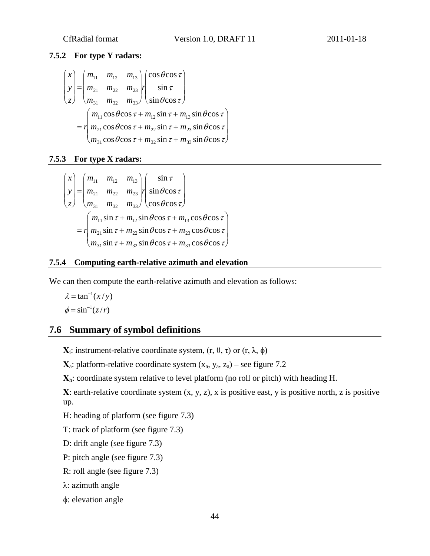#### <span id="page-43-0"></span>**7.5.2 For type Y radars:**

$$
\begin{pmatrix} x \\ y \\ z \end{pmatrix} = \begin{pmatrix} m_{11} & m_{12} & m_{13} \\ m_{21} & m_{22} & m_{23} \\ m_{31} & m_{32} & m_{33} \end{pmatrix} r \begin{pmatrix} \cos \theta \cos \tau \\ \sin \tau \\ \sin \theta \cos \tau \end{pmatrix}
$$
  
=  $r \begin{pmatrix} m_{11} \cos \theta \cos \tau + m_{12} \sin \tau + m_{13} \sin \theta \cos \tau \\ m_{21} \cos \theta \cos \tau + m_{22} \sin \tau + m_{23} \sin \theta \cos \tau \\ m_{31} \cos \theta \cos \tau + m_{32} \sin \tau + m_{33} \sin \theta \cos \tau \end{pmatrix}$ 

#### <span id="page-43-1"></span>**7.5.3 For type X radars:**

$$
\begin{pmatrix} x \\ y \\ z \end{pmatrix} = \begin{pmatrix} m_{11} & m_{12} & m_{13} \\ m_{21} & m_{22} & m_{23} \\ m_{31} & m_{32} & m_{33} \end{pmatrix} \begin{pmatrix} \sin \tau \\ \sin \theta \cos \tau \\ \cos \theta \cos \tau \end{pmatrix}
$$
  
=  $r \begin{pmatrix} m_{11} \sin \tau + m_{12} \sin \theta \cos \tau + m_{13} \cos \theta \cos \tau \\ m_{21} \sin \tau + m_{22} \sin \theta \cos \tau + m_{23} \cos \theta \cos \tau \\ m_{31} \sin \tau + m_{32} \sin \theta \cos \tau + m_{33} \cos \theta \cos \tau \end{pmatrix}$ 

#### <span id="page-43-2"></span>**7.5.4 Computing earth-relative azimuth and elevation**

We can then compute the earth-relative azimuth and elevation as follows:

$$
\lambda = \tan^{-1}(x/y)
$$

$$
\phi = \sin^{-1}(z/r)
$$

### <span id="page-43-3"></span>**7.6 Summary of symbol definitions**

**X**<sub>i</sub>: instrument-relative coordinate system,  $(r, θ, τ)$  or  $(r, λ, φ)$ 

 $\mathbf{X}_a$ : platform-relative coordinate system  $(x_a, y_a, z_a)$  – see figure 7.2

**Χ**h: coordinate system relative to level platform (no roll or pitch) with heading H.

**Χ**: earth-relative coordinate system (x, y, z), x is positive east, y is positive north, z is positive up.

H: heading of platform (see figure 7.3)

T: track of platform (see figure 7.3)

D: drift angle (see figure 7.3)

P: pitch angle (see figure 7.3)

R: roll angle (see figure 7.3)

λ: azimuth angle

φ: elevation angle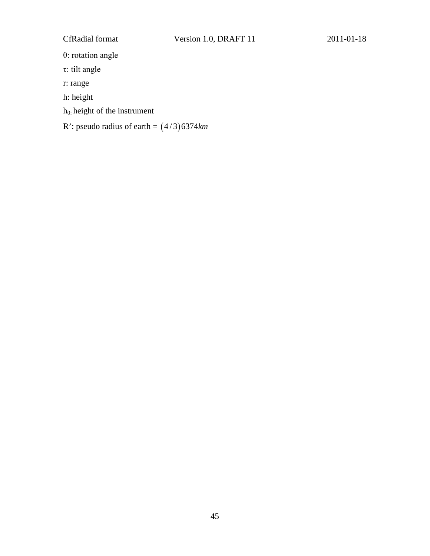θ: rotation angle

τ: tilt angle

r: range

h: height

h0: height of the instrument

R': pseudo radius of earth =  $(4/3)$ 6374 $km$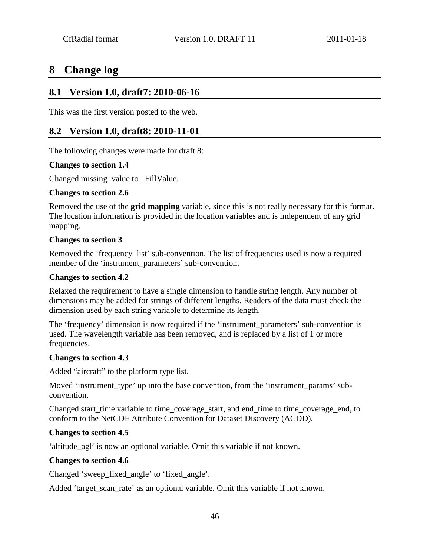## <span id="page-45-0"></span>**8 Change log**

### <span id="page-45-1"></span>**8.1 Version 1.0, draft7: 2010-06-16**

<span id="page-45-2"></span>This was the first version posted to the web.

### **8.2 Version 1.0, draft8: 2010-11-01**

The following changes were made for draft 8:

#### **Changes to section 1.4**

Changed missing\_value to \_FillValue.

#### **Changes to section 2.6**

Removed the use of the **grid mapping** variable, since this is not really necessary for this format. The location information is provided in the location variables and is independent of any grid mapping.

#### **Changes to section 3**

Removed the 'frequency\_list' sub-convention. The list of frequencies used is now a required member of the 'instrument\_parameters' sub-convention.

#### **Changes to section 4.2**

Relaxed the requirement to have a single dimension to handle string length. Any number of dimensions may be added for strings of different lengths. Readers of the data must check the dimension used by each string variable to determine its length.

The 'frequency' dimension is now required if the 'instrument\_parameters' sub-convention is used. The wavelength variable has been removed, and is replaced by a list of 1 or more frequencies.

#### **Changes to section 4.3**

Added "aircraft" to the platform type list.

Moved 'instrument\_type' up into the base convention, from the 'instrument\_params' subconvention.

Changed start\_time variable to time\_coverage\_start, and end\_time to time\_coverage\_end, to conform to the NetCDF Attribute Convention for Dataset Discovery (ACDD).

#### **Changes to section 4.5**

'altitude\_agl' is now an optional variable. Omit this variable if not known.

#### **Changes to section 4.6**

Changed 'sweep\_fixed\_angle' to 'fixed\_angle'.

Added 'target\_scan\_rate' as an optional variable. Omit this variable if not known.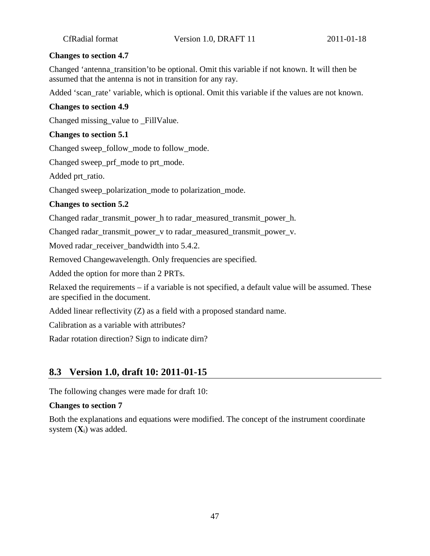#### **Changes to section 4.7**

Changed 'antenna\_transition'to be optional. Omit this variable if not known. It will then be assumed that the antenna is not in transition for any ray.

Added 'scan\_rate' variable, which is optional. Omit this variable if the values are not known.

#### **Changes to section 4.9**

Changed missing\_value to \_FillValue.

#### **Changes to section 5.1**

Changed sweep\_follow\_mode to follow\_mode.

Changed sweep\_prf\_mode to prt\_mode.

Added prt\_ratio.

Changed sweep\_polarization\_mode to polarization\_mode.

#### **Changes to section 5.2**

Changed radar\_transmit\_power\_h to radar\_measured\_transmit\_power\_h.

Changed radar\_transmit\_power\_v to radar\_measured\_transmit\_power\_v.

Moved radar\_receiver\_bandwidth into 5.4.2.

Removed Changewavelength. Only frequencies are specified.

Added the option for more than 2 PRTs.

Relaxed the requirements – if a variable is not specified, a default value will be assumed. These are specified in the document.

Added linear reflectivity (Z) as a field with a proposed standard name.

Calibration as a variable with attributes?

Radar rotation direction? Sign to indicate dirn?

### <span id="page-46-0"></span>**8.3 Version 1.0, draft 10: 2011-01-15**

The following changes were made for draft 10:

#### **Changes to section 7**

Both the explanations and equations were modified. The concept of the instrument coordinate system (**X**i) was added.